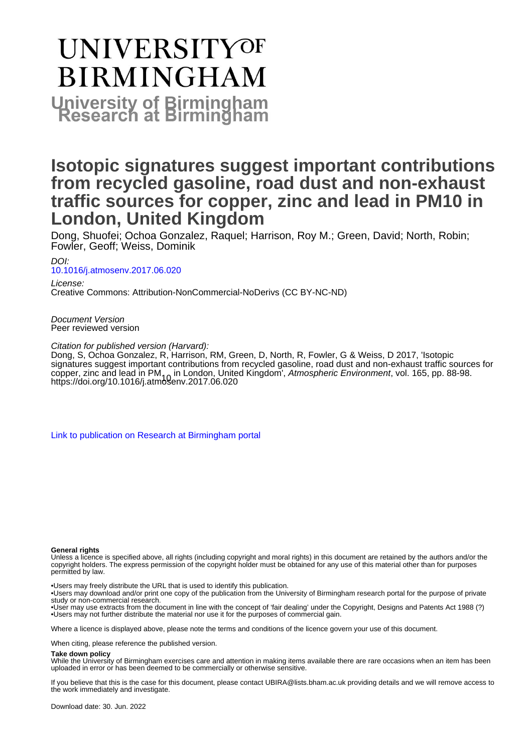# **UNIVERSITYOF BIRMINGHAM University of Birmingham**

## **Isotopic signatures suggest important contributions from recycled gasoline, road dust and non-exhaust traffic sources for copper, zinc and lead in PM10 in London, United Kingdom**

Dong, Shuofei; Ochoa Gonzalez, Raquel; Harrison, Roy M.; Green, David; North, Robin; Fowler, Geoff; Weiss, Dominik

DOI: [10.1016/j.atmosenv.2017.06.020](https://doi.org/10.1016/j.atmosenv.2017.06.020)

License: Creative Commons: Attribution-NonCommercial-NoDerivs (CC BY-NC-ND)

Document Version Peer reviewed version

Citation for published version (Harvard):

Dong, S, Ochoa Gonzalez, R, Harrison, RM, Green, D, North, R, Fowler, G & Weiss, D 2017, 'Isotopic signatures suggest important contributions from recycled gasoline, road dust and non-exhaust traffic sources for copper, zinc and lead in PM<sub>10</sub> in London, United Kingdom', *Atmospheric Environment*, vol. 165, pp. 88-98.<br><https://doi.org/10.1016/j.atmosenv.2017.06.020>

[Link to publication on Research at Birmingham portal](https://birmingham.elsevierpure.com/en/publications/4b23e970-87ad-4138-ae09-479f0c6f9141)

#### **General rights**

Unless a licence is specified above, all rights (including copyright and moral rights) in this document are retained by the authors and/or the copyright holders. The express permission of the copyright holder must be obtained for any use of this material other than for purposes permitted by law.

• Users may freely distribute the URL that is used to identify this publication.

• Users may download and/or print one copy of the publication from the University of Birmingham research portal for the purpose of private study or non-commercial research.

• User may use extracts from the document in line with the concept of 'fair dealing' under the Copyright, Designs and Patents Act 1988 (?) • Users may not further distribute the material nor use it for the purposes of commercial gain.

Where a licence is displayed above, please note the terms and conditions of the licence govern your use of this document.

When citing, please reference the published version.

#### **Take down policy**

While the University of Birmingham exercises care and attention in making items available there are rare occasions when an item has been uploaded in error or has been deemed to be commercially or otherwise sensitive.

If you believe that this is the case for this document, please contact UBIRA@lists.bham.ac.uk providing details and we will remove access to the work immediately and investigate.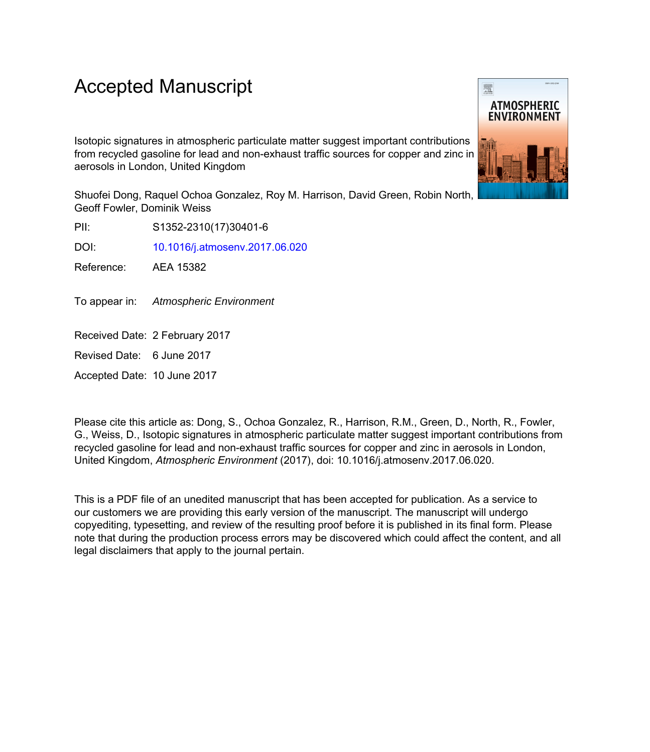## Accepted Manuscript

Isotopic signatures in atmospheric particulate matter suggest important contributions from recycled gasoline for lead and non-exhaust traffic sources for copper and zinc in aerosols in London, United Kingdom

Shuofei Dong, Raquel Ochoa Gonzalez, Roy M. Harrison, David Green, Robin North, Geoff Fowler, Dominik Weiss

PII: S1352-2310(17)30401-6

DOI: [10.1016/j.atmosenv.2017.06.020](http://dx.doi.org/10.1016/j.atmosenv.2017.06.020)

Reference: AEA 15382

To appear in: Atmospheric Environment

Received Date: 2 February 2017

Revised Date: 6 June 2017

Accepted Date: 10 June 2017

Please cite this article as: Dong, S., Ochoa Gonzalez, R., Harrison, R.M., Green, D., North, R., Fowler, G., Weiss, D., Isotopic signatures in atmospheric particulate matter suggest important contributions from recycled gasoline for lead and non-exhaust traffic sources for copper and zinc in aerosols in London, United Kingdom, *Atmospheric Environment* (2017), doi: 10.1016/j.atmosenv.2017.06.020.

This is a PDF file of an unedited manuscript that has been accepted for publication. As a service to our customers we are providing this early version of the manuscript. The manuscript will undergo copyediting, typesetting, and review of the resulting proof before it is published in its final form. Please note that during the production process errors may be discovered which could affect the content, and all legal disclaimers that apply to the journal pertain.

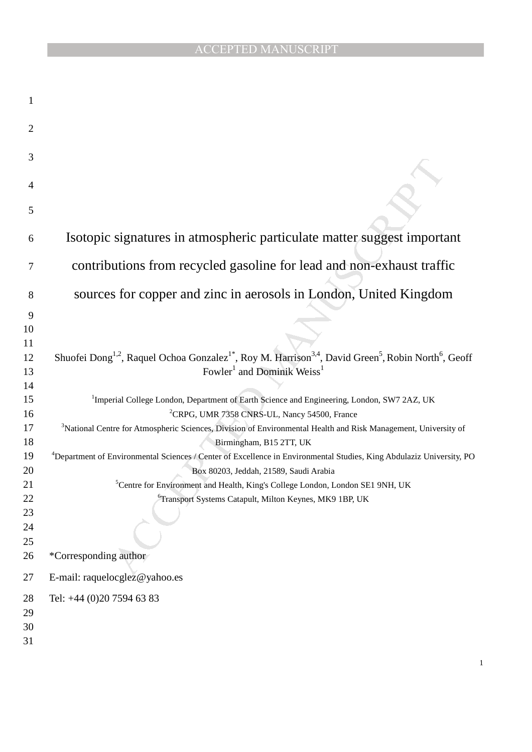### ACCEPTED MANUSCRIPT

| $\mathbf{1}$   |                                                                                                                                                                  |
|----------------|------------------------------------------------------------------------------------------------------------------------------------------------------------------|
| $\overline{2}$ |                                                                                                                                                                  |
| 3              |                                                                                                                                                                  |
| 4              |                                                                                                                                                                  |
|                |                                                                                                                                                                  |
| 5              |                                                                                                                                                                  |
| 6              | Isotopic signatures in atmospheric particulate matter suggest important                                                                                          |
| 7              | contributions from recycled gasoline for lead and non-exhaust traffic                                                                                            |
| 8              | sources for copper and zinc in aerosols in London, United Kingdom                                                                                                |
| 9              |                                                                                                                                                                  |
| 10             |                                                                                                                                                                  |
| 11             |                                                                                                                                                                  |
| 12             | Shuofei Dong <sup>1,2</sup> , Raquel Ochoa Gonzalez <sup>1*</sup> , Roy M. Harrison <sup>3,4</sup> , David Green <sup>5</sup> , Robin North <sup>6</sup> , Geoff |
| 13             | Fowler <sup>1</sup> and Dominik Weiss <sup>1</sup>                                                                                                               |
| 14             |                                                                                                                                                                  |
| 15             | <sup>1</sup> Imperial College London, Department of Earth Science and Engineering, London, SW7 2AZ, UK                                                           |
| 16             | <sup>2</sup> CRPG, UMR 7358 CNRS-UL, Nancy 54500, France                                                                                                         |
| 17             | <sup>3</sup> National Centre for Atmospheric Sciences, Division of Environmental Health and Risk Management, University of                                       |
| 18             | Birmingham, B15 2TT, UK                                                                                                                                          |
| 19             | <sup>4</sup> Department of Environmental Sciences / Center of Excellence in Environmental Studies, King Abdulaziz University, PO                                 |
| 20             | Box 80203, Jeddah, 21589, Saudi Arabia                                                                                                                           |
| 21             | <sup>5</sup> Centre for Environment and Health, King's College London, London SE1 9NH, UK                                                                        |
| 22             | <sup>6</sup> Transport Systems Catapult, Milton Keynes, MK9 1BP, UK                                                                                              |
| 23             |                                                                                                                                                                  |
| 24             |                                                                                                                                                                  |
| 25             |                                                                                                                                                                  |
| 26             | *Corresponding author                                                                                                                                            |
| 27             | E-mail: raquelocglez@yahoo.es                                                                                                                                    |
| 28             | Tel: +44 (0)20 7594 63 83                                                                                                                                        |
| 29             |                                                                                                                                                                  |
| 30             |                                                                                                                                                                  |
| 31             |                                                                                                                                                                  |
|                |                                                                                                                                                                  |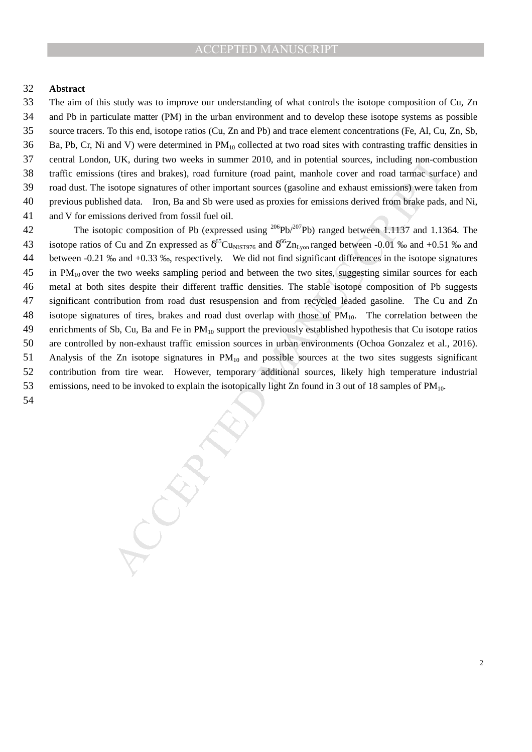#### **Abstract**

The aim of this study was to improve our understanding of what controls the isotope composition of Cu, Zn and Pb in particulate matter (PM) in the urban environment and to develop these isotope systems as possible source tracers. To this end, isotope ratios (Cu, Zn and Pb) and trace element concentrations (Fe, Al, Cu, Zn, Sb, 36 Ba, Pb, Cr, Ni and V) were determined in PM<sub>10</sub> collected at two road sites with contrasting traffic densities in central London, UK, during two weeks in summer 2010, and in potential sources, including non-combustion traffic emissions (tires and brakes), road furniture (road paint, manhole cover and road tarmac surface) and road dust. The isotope signatures of other important sources (gasoline and exhaust emissions) were taken from previous published data. Iron, Ba and Sb were used as proxies for emissions derived from brake pads, and Ni, and V for emissions derived from fossil fuel oil.

UK, during two weeks in summer 2010, and in potential sources, including mon-con-<br>or stylically and transmit associated paint, manufole cover and rotation strong solitons soliton samples to the important sources (gasoline 42 The isotopic composition of Pb (expressed using <sup>206</sup>Pb/<sup>207</sup>Pb) ranged between 1.1137 and 1.1364. The 43 isotope ratios of Cu and Zn expressed as  $\delta^{65}Cu_{NIST976}$  and  $\delta^{66}Zn_{Lyon}$  ranged between -0.01 ‰ and +0.51 ‰ and between -0.21 ‰ and +0.33 ‰, respectively. We did not find significant differences in the isotope signatures in PM<sub>10</sub> over the two weeks sampling period and between the two sites, suggesting similar sources for each metal at both sites despite their different traffic densities. The stable isotope composition of Pb suggests significant contribution from road dust resuspension and from recycled leaded gasoline. The Cu and Zn 48 isotope signatures of tires, brakes and road dust overlap with those of PM<sub>10</sub>. The correlation between the 49 enrichments of Sb, Cu, Ba and Fe in  $PM_{10}$  support the previously established hypothesis that Cu isotope ratios are controlled by non-exhaust traffic emission sources in urban environments (Ochoa Gonzalez et al., 2016). 51 Analysis of the Zn isotope signatures in  $PM_{10}$  and possible sources at the two sites suggests significant contribution from tire wear. However, temporary additional sources, likely high temperature industrial 53 emissions, need to be invoked to explain the isotopically light Zn found in 3 out of 18 samples of PM<sub>10</sub>.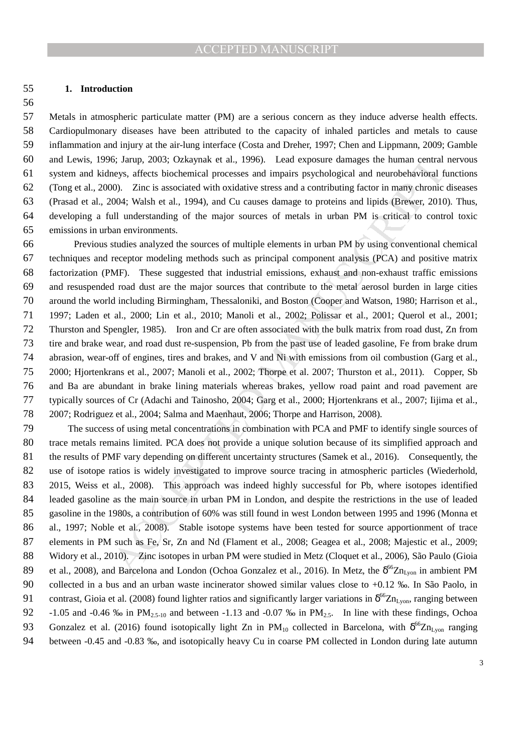#### **1. Introduction**

Metals in atmospheric particulate matter (PM) are a serious concern as they induce adverse health effects. Cardiopulmonary diseases have been attributed to the capacity of inhaled particles and metals to cause inflammation and injury at the air-lung interface (Costa and Dreher, 1997; Chen and Lippmann, 2009; Gamble and Lewis, 1996; Jarup, 2003; Ozkaynak et al., 1996). Lead exposure damages the human central nervous system and kidneys, affects biochemical processes and impairs psychological and neurobehavioral functions (Tong et al., 2000). Zinc is associated with oxidative stress and a contributing factor in many chronic diseases (Prasad et al., 2004; Walsh et al., 1994), and Cu causes damage to proteins and lipids (Brewer, 2010). Thus, developing a full understanding of the major sources of metals in urban PM is critical to control toxic emissions in urban environments.

6; Jarop, 2003; Ozkaynak et al., 1996). Lead exposure damanges the human central<br>expose, affects bicohemical processes and impairs psychological and neurolenkivioral for<br>00.4; Valish et al., 1994), and Cu causes damage to Previous studies analyzed the sources of multiple elements in urban PM by using conventional chemical techniques and receptor modeling methods such as principal component analysis (PCA) and positive matrix factorization (PMF). These suggested that industrial emissions, exhaust and non-exhaust traffic emissions and resuspended road dust are the major sources that contribute to the metal aerosol burden in large cities around the world including Birmingham, Thessaloniki, and Boston (Cooper and Watson, 1980; Harrison et al., 1997; Laden et al., 2000; Lin et al., 2010; Manoli et al., 2002; Polissar et al., 2001; Querol et al., 2001; Thurston and Spengler, 1985). Iron and Cr are often associated with the bulk matrix from road dust, Zn from tire and brake wear, and road dust re-suspension, Pb from the past use of leaded gasoline, Fe from brake drum abrasion, wear-off of engines, tires and brakes, and V and Ni with emissions from oil combustion (Garg et al., 2000; Hjortenkrans et al., 2007; Manoli et al., 2002; Thorpe et al. 2007; Thurston et al., 2011). Copper, Sb and Ba are abundant in brake lining materials whereas brakes, yellow road paint and road pavement are typically sources of Cr (Adachi and Tainosho, 2004; Garg et al., 2000; Hjortenkrans et al., 2007; Iijima et al., 2007; Rodriguez et al., 2004; Salma and Maenhaut, 2006; Thorpe and Harrison, 2008).

The success of using metal concentrations in combination with PCA and PMF to identify single sources of trace metals remains limited. PCA does not provide a unique solution because of its simplified approach and 81 the results of PMF vary depending on different uncertainty structures (Samek et al., 2016). Consequently, the use of isotope ratios is widely investigated to improve source tracing in atmospheric particles (Wiederhold, 2015, Weiss et al., 2008). This approach was indeed highly successful for Pb, where isotopes identified leaded gasoline as the main source in urban PM in London, and despite the restrictions in the use of leaded gasoline in the 1980s, a contribution of 60% was still found in west London between 1995 and 1996 (Monna et al., 1997; Noble et al., 2008). Stable isotope systems have been tested for source apportionment of trace elements in PM such as Fe, Sr, Zn and Nd (Flament et al., 2008; Geagea et al., 2008; Majestic et al., 2009; Widory et al., 2010). Zinc isotopes in urban PM were studied in Metz (Cloquet et al., 2006), São Paulo (Gioia 89 et al., 2008), and Barcelona and London (Ochoa Gonzalez et al., 2016). In Metz, the  $\delta^{66}Zn_{Lyon}$  in ambient PM collected in a bus and an urban waste incinerator showed similar values close to +0.12 ‰. In São Paolo, in 91 contrast, Gioia et al. (2008) found lighter ratios and significantly larger variations in  $\delta^{66}Zn_{Lyon}$ , ranging between 92 -1.05 and -0.46 ‰ in PM<sub>2.5-10</sub> and between -1.13 and -0.07 ‰ in PM<sub>2.5</sub>. In line with these findings, Ochoa 93 Gonzalez et al. (2016) found isotopically light Zn in PM<sub>10</sub> collected in Barcelona, with  $\delta^{66}Zn_{Lyon}$  ranging between -0.45 and -0.83 ‰, and isotopically heavy Cu in coarse PM collected in London during late autumn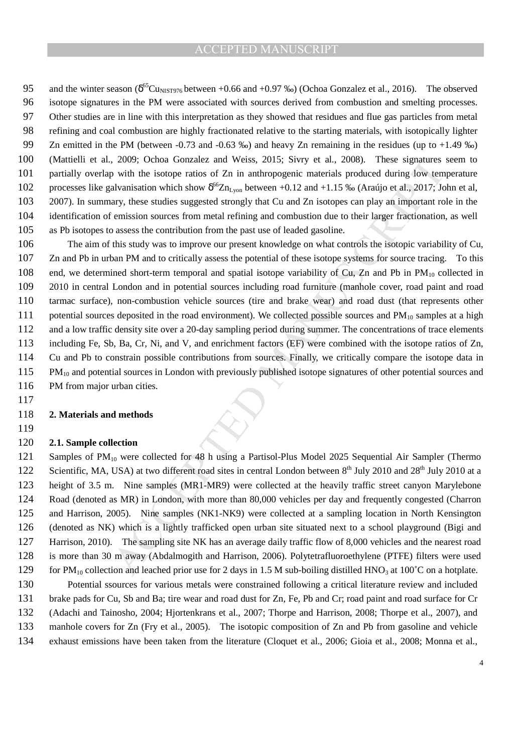95 and the winter season  $(\delta^{65}Cu_{NIST976}$  between +0.66 and +0.97 ‰) (Ochoa Gonzalez et al., 2016). The observed isotope signatures in the PM were associated with sources derived from combustion and smelting processes. Other studies are in line with this interpretation as they showed that residues and flue gas particles from metal refining and coal combustion are highly fractionated relative to the starting materials, with isotopically lighter Zn emitted in the PM (between -0.73 and -0.63 ‰) and heavy Zn remaining in the residues (up to +1.49 ‰) (Mattielli et al., 2009; Ochoa Gonzalez and Weiss, 2015; Sivry et al., 2008). These signatures seem to partially overlap with the isotope ratios of Zn in anthropogenic materials produced during low temperature 102 processes like galvanisation which show  $\delta^{66}Zn_{Lyon}$  between +0.12 and +1.15 ‰ (Araújo et al., 2017; John et al, 2007). In summary, these studies suggested strongly that Cu and Zn isotopes can play an important role in the identification of emission sources from metal refining and combustion due to their larger fractionation, as well as Pb isotopes to assess the contribution from the past use of leaded gasoline.

2009; Orbous Gonzalez and Weiss. 2015; Sivry et al., 2008). These signatures<br>y with the isotope ratios of Zn in anthropogenic materials produced during low tem<br>alvanisation which show  $\delta^{\omega} \mathbf{Z}_{\Pi_2,m}$  between -0.12 an The aim of this study was to improve our present knowledge on what controls the isotopic variability of Cu, Zn and Pb in urban PM and to critically assess the potential of these isotope systems for source tracing. To this 108 end, we determined short-term temporal and spatial isotope variability of Cu, Zn and Pb in PM<sub>10</sub> collected in 2010 in central London and in potential sources including road furniture (manhole cover, road paint and road tarmac surface), non-combustion vehicle sources (tire and brake wear) and road dust (that represents other 111 potential sources deposited in the road environment). We collected possible sources and  $PM_{10}$  samples at a high and a low traffic density site over a 20-day sampling period during summer. The concentrations of trace elements including Fe, Sb, Ba, Cr, Ni, and V, and enrichment factors (EF) were combined with the isotope ratios of Zn, Cu and Pb to constrain possible contributions from sources. Finally, we critically compare the isotope data in 115 PM<sub>10</sub> and potential sources in London with previously published isotope signatures of other potential sources and 116 PM from major urban cities.

#### **2. Materials and methods**

#### **2.1. Sample collection**

121 Samples of PM<sub>10</sub> were collected for 48 h using a Partisol-Plus Model 2025 Sequential Air Sampler (Thermo 122 Scientific, MA, USA) at two different road sites in central London between 8<sup>th</sup> July 2010 and 28<sup>th</sup> July 2010 at a height of 3.5 m. Nine samples (MR1-MR9) were collected at the heavily traffic street canyon Marylebone Road (denoted as MR) in London, with more than 80,000 vehicles per day and frequently congested (Charron and Harrison, 2005). Nine samples (NK1-NK9) were collected at a sampling location in North Kensington (denoted as NK) which is a lightly trafficked open urban site situated next to a school playground (Bigi and Harrison, 2010). The sampling site NK has an average daily traffic flow of 8,000 vehicles and the nearest road is more than 30 m away (Abdalmogith and Harrison, 2006). Polytetrafluoroethylene (PTFE) filters were used 129 for PM<sub>10</sub> collection and leached prior use for 2 days in 1.5 M sub-boiling distilled HNO<sub>3</sub> at 100<sup>°</sup>C on a hotplate.

Potential ssources for various metals were constrained following a critical literature review and included brake pads for Cu, Sb and Ba; tire wear and road dust for Zn, Fe, Pb and Cr; road paint and road surface for Cr (Adachi and Tainosho, 2004; Hjortenkrans et al., 2007; Thorpe and Harrison, 2008; Thorpe et al., 2007), and manhole covers for Zn (Fry et al., 2005). The isotopic composition of Zn and Pb from gasoline and vehicle exhaust emissions have been taken from the literature (Cloquet et al., 2006; Gioia et al., 2008; Monna et al.,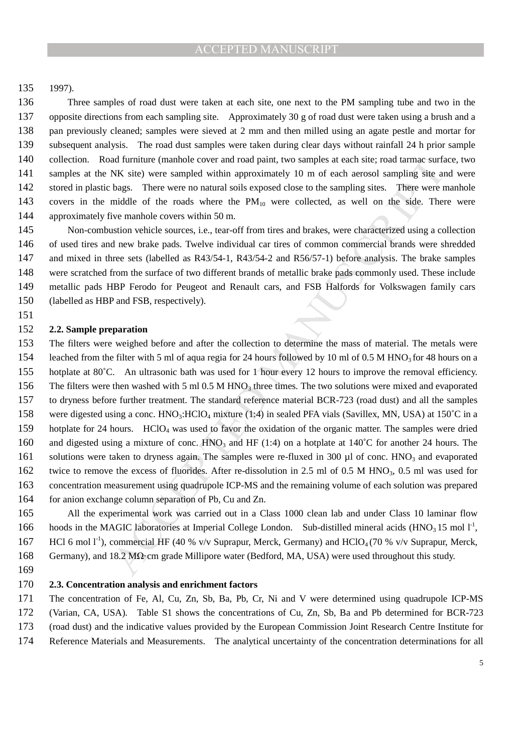1997).

Three samples of road dust were taken at each site, one next to the PM sampling tube and two in the opposite directions from each sampling site. Approximately 30 g of road dust were taken using a brush and a pan previously cleaned; samples were sieved at 2 mm and then milled using an agate pestle and mortar for subsequent analysis. The road dust samples were taken during clear days without rainfall 24 h prior sample collection. Road furniture (manhole cover and road paint, two samples at each site; road tarmac surface, two samples at the NK site) were sampled within approximately 10 m of each aerosol sampling site and were 142 stored in plastic bags. There were no natural soils exposed close to the sampling sites. There were manhole 143 covers in the middle of the roads where the PM<sub>10</sub> were collected, as well on the side. There were approximately five manhole covers within 50 m.

Non-combustion vehicle sources, i.e., tear-off from tires and brakes, were characterized using a collection of used tires and new brake pads. Twelve individual car tires of common commercial brands were shredded and mixed in three sets (labelled as R43/54-1, R43/54-2 and R56/57-1) before analysis. The brake samples were scratched from the surface of two different brands of metallic brake pads commonly used. These include metallic pads HBP Ferodo for Peugeot and Renault cars, and FSB Halfords for Volkswagen family cars (labelled as HBP and FSB, respectively).

#### **2.2. Sample preparation**

ad furnitre (manhole cover and road paint, two samples at each stic; to ad timmine for NMS site). We were sampled whihin approximately 10 m of each acrosol sampling sites. There were no natural solits exposed close to the The filters were weighed before and after the collection to determine the mass of material. The metals were 154 leached from the filter with 5 ml of aqua regia for 24 hours followed by 10 ml of 0.5 M HNO3 for 48 hours on a hotplate at 80˚C. An ultrasonic bath was used for 1 hour every 12 hours to improve the removal efficiency. 156 The filters were then washed with 5 ml 0.5 M HNO<sub>3</sub> three times. The two solutions were mixed and evaporated to dryness before further treatment. The standard reference material BCR-723 (road dust) and all the samples 158 were digested using a conc. HNO<sub>3</sub>:HClO<sub>4</sub> mixture (1:4) in sealed PFA vials (Savillex, MN, USA) at 150°C in a hotplate for 24 hours. HClO4 was used to favor the oxidation of the organic matter. The samples were dried 160 and digested using a mixture of conc. HNO<sub>3</sub> and HF (1:4) on a hotplate at 140°C for another 24 hours. The 161 solutions were taken to dryness again. The samples were re-fluxed in 300  $\mu$ l of conc. HNO<sub>3</sub> and evaporated 162 twice to remove the excess of fluorides. After re-dissolution in 2.5 ml of 0.5 M HNO<sub>3</sub>, 0.5 ml was used for concentration measurement using quadrupole ICP-MS and the remaining volume of each solution was prepared for anion exchange column separation of Pb, Cu and Zn.

All the experimental work was carried out in a Class 1000 clean lab and under Class 10 laminar flow hoods in the MAGIC laboratories at Imperial College London. Sub-distilled mineral acids (HNO<sub>3</sub> 15 mol  $I^1$ , 167 HCl 6 mol  $I^{-1}$ ), commercial HF (40 % v/v Suprapur, Merck, Germany) and HClO<sub>4</sub> (70 % v/v Suprapur, Merck, Germany), and 18.2 MΩ·cm grade Millipore water (Bedford, MA, USA) were used throughout this study.

#### **2.3. Concentration analysis and enrichment factors**

The concentration of Fe, Al, Cu, Zn, Sb, Ba, Pb, Cr, Ni and V were determined using quadrupole ICP-MS (Varian, CA, USA). Table S1 shows the concentrations of Cu, Zn, Sb, Ba and Pb determined for BCR-723 (road dust) and the indicative values provided by the European Commission Joint Research Centre Institute for

- Reference Materials and Measurements. The analytical uncertainty of the concentration determinations for all
-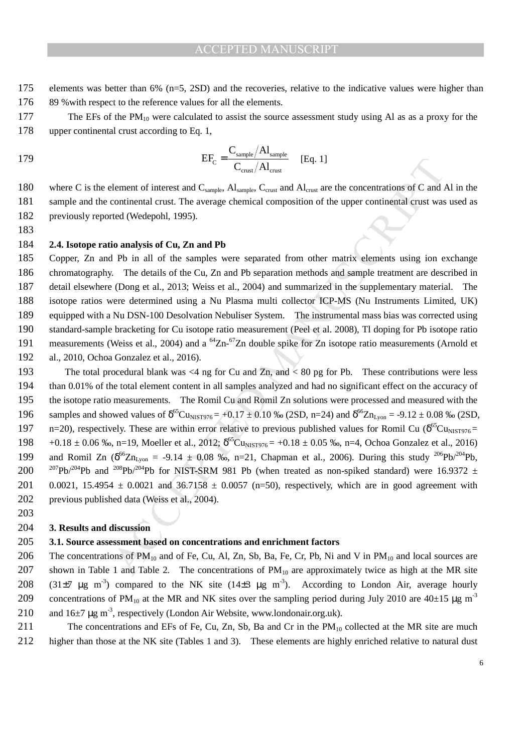- 175 elements was better than 6% (n=5, 2SD) and the recoveries, relative to the indicative values were higher than 176 89 % with respect to the reference values for all the elements.
- 177 The EFs of the PM<sub>10</sub> were calculated to assist the source assessment study using Al as as a proxy for the 178 upper continental crust according to Eq. 1,

179 
$$
EF_{C} = \frac{C_{\text{sample}}/Al_{\text{sample}}}{C_{\text{crust}}/Al_{\text{crust}}} \quad \text{[Eq. 1]}
$$

180 where C is the element of interest and  $C_{sample}$ ,  $A_{sample}$ ,  $C_{crust}$  and  $A_{lcrust}$  are the concentrations of C and Al in the 181 sample and the continental crust. The average chemical composition of the upper continental crust was used as 182 previously reported (Wedepohl, 1995).

183

#### 184 **2.4. Isotope ratio analysis of Cu, Zn and Pb**

Copper, Zn and Pb in all of the samples were separated from other matrix elements using ion exchange chromatography. The details of the Cu, Zn and Pb separation methods and sample treatment are described in detail elsewhere (Dong et al., 2013; Weiss et al., 2004) and summarized in the supplementary material. The isotope ratios were determined using a Nu Plasma multi collector ICP-MS (Nu Instruments Limited, UK) equipped with a Nu DSN-100 Desolvation Nebuliser System. The instrumental mass bias was corrected using standard-sample bracketing for Cu isotope ratio measurement (Peel et al. 2008), Tl doping for Pb isotope ratio 191 measurements (Weiss et al., 2004) and a  $^{64}Zn-^{67}Zn$  double spike for  $Zn$  isotope ratio measurements (Arnold et al., 2010, Ochoa Gonzalez et al., 2016).

EFC  $\frac{E_T}{C_{\text{cons}}/A_{\text{t,rest}}}$  [Eq. 1]<br>
Element of interest and C<sub>sample</sub>,  $A_{\text{t,rest}}$  (Eq. 1]<br>
Element of interest and C<sub>sample</sub>,  $A_{\text{t,rest}}$  ( $A_{\text{t,rest}}$  are the concentrations of C and<br>
continental crust. The average ch 193 The total procedural blank was <4 ng for Cu and Zn, and < 80 pg for Pb. These contributions were less 194 than 0.01% of the total element content in all samples analyzed and had no significant effect on the accuracy of 195 the isotope ratio measurements. The Romil Cu and Romil Zn solutions were processed and measured with the 196 samples and showed values of  $\delta^{65}Cu_{NIST976} = +0.17 \pm 0.10$  % (2SD, n=24) and  $\delta^{66}Zn_{Lyon} = -9.12 \pm 0.08$  % (2SD, 197 n=20), respectively. These are within error relative to previous published values for Romil Cu ( $\delta^{65}$ Cu<sub>NIST976</sub> = 198 +0.18 ± 0.06 ‰, n=19, Moeller et al., 2012;  $\delta^{65}Cu_{NIST976}$  = +0.18 ± 0.05 ‰, n=4, Ochoa Gonzalez et al., 2016) 199 and Romil Zn  $(\delta^{66}Zn_{Lyon} = -9.14 \pm 0.08 \text{ %}, n=21, \text{ Chapman et al., 2006}).$  During this study <sup>206</sup>Pb/<sup>204</sup>Pb, 200 <sup>207</sup>Pb/<sup>204</sup>Pb and <sup>208</sup>Pb/<sup>204</sup>Pb for NIST-SRM 981 Pb (when treated as non-spiked standard) were 16.9372 ± 201 0.0021, 15.4954  $\pm$  0.0021 and 36.7158  $\pm$  0.0057 (n=50), respectively, which are in good agreement with 202 previous published data (Weiss et al., 2004).

#### 204 **3. Results and discussion**

203

#### 205 **3.1. Source assessment based on concentrations and enrichment factors**

206 The concentrations of  $PM_{10}$  and of Fe, Cu, Al, Zn, Sb, Ba, Fe, Cr, Pb, Ni and V in  $PM_{10}$  and local sources are 207 shown in Table 1 and Table 2. The concentrations of  $PM_{10}$  are approximately twice as high at the MR site 208 (31 $\pm$ 7 µg m<sup>-3</sup>) compared to the NK site (14 $\pm$ 3 µg m<sup>-3</sup>). According to London Air, average hourly 209 concentrations of PM<sub>10</sub> at the MR and NK sites over the sampling period during July 2010 are  $40\pm15$  µg m<sup>-3</sup> 210 and  $16\pm7$  µg m<sup>-3</sup>, respectively (London Air Website, www.londonair.org.uk).

211 The concentrations and EFs of Fe, Cu, Zn, Sb, Ba and Cr in the  $PM_{10}$  collected at the MR site are much 212 higher than those at the NK site (Tables 1 and 3). These elements are highly enriched relative to natural dust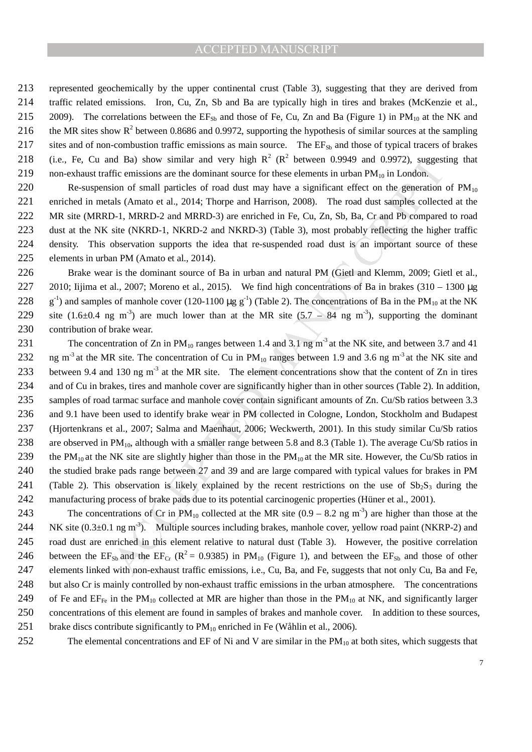213 represented geochemically by the upper continental crust (Table 3), suggesting that they are derived from 214 traffic related emissions. Iron, Cu, Zn, Sb and Ba are typically high in tires and brakes (McKenzie et al., 215 2009). The correlations between the  $EF_{Sb}$  and those of Fe, Cu, Zn and Ba (Figure 1) in PM<sub>10</sub> at the NK and 216 the MR sites show  $R^2$  between 0.8686 and 0.9972, supporting the hypothesis of similar sources at the sampling 217 sites and of non-combustion traffic emissions as main source. The EF<sub>Sb</sub> and those of typical tracers of brakes 218 (i.e., Fe, Cu and Ba) show similar and very high  $R^2$  ( $R^2$  between 0.9949 and 0.9972), suggesting that 219 non-exhaust traffic emissions are the dominant source for these elements in urban  $PM_{10}$  in London.

220 Re-suspension of small particles of road dust may have a significant effect on the generation of  $PM_{10}$ enriched in metals (Amato et al., 2014; Thorpe and Harrison, 2008). The road dust samples collected at the MR site (MRRD-1, MRRD-2 and MRRD-3) are enriched in Fe, Cu, Zn, Sb, Ba, Cr and Pb compared to road dust at the NK site (NKRD-1, NKRD-2 and NKRD-3) (Table 3), most probably reflecting the higher traffic density. This observation supports the idea that re-suspended road dust is an important source of these elements in urban PM (Amato et al., 2014).

226 Brake wear is the dominant source of Ba in urban and natural PM (Gietl and Klemm, 2009; Gietl et al., 227 2010; Iijima et al., 2007; Moreno et al., 2015). We find high concentrations of Ba in brakes (310 – 1300 µg 228  $\text{g}^{-1}$ ) and samples of manhole cover (120-1100  $\mu$ g g<sup>-1</sup>) (Table 2). The concentrations of Ba in the PM<sub>10</sub> at the NK 229 site (1.6 $\pm$ 0.4 ng m<sup>-3</sup>) are much lower than at the MR site (5.7 – 84 ng m<sup>-3</sup>), supporting the dominant 230 contribution of brake wear.

ID also so similar and very high R<sup>e</sup> R<sup>e</sup> between 0.9949 and 0.9972), suggest<br>also show similar and very high R<sup>e</sup> Re<sup>o</sup> between 0.9949 and 0.9972), suggest<br>information of small particles of road dust may have a signific 231 The concentration of Zn in  $PM_{10}$  ranges between 1.4 and 3.1 ng m<sup>-3</sup> at the NK site, and between 3.7 and 41 232 ng m<sup>-3</sup> at the MR site. The concentration of Cu in  $PM_{10}$  ranges between 1.9 and 3.6 ng m<sup>-3</sup> at the NK site and 233 between 9.4 and 130 ng  $m<sup>-3</sup>$  at the MR site. The element concentrations show that the content of Zn in tires 234 and of Cu in brakes, tires and manhole cover are significantly higher than in other sources (Table 2). In addition, 235 samples of road tarmac surface and manhole cover contain significant amounts of Zn. Cu/Sb ratios between 3.3 236 and 9.1 have been used to identify brake wear in PM collected in Cologne, London, Stockholm and Budapest 237 (Hjortenkrans et al., 2007; Salma and Maenhaut, 2006; Weckwerth, 2001). In this study similar Cu/Sb ratios 238 are observed in PM<sub>10</sub>, although with a smaller range between 5.8 and 8.3 (Table 1). The average Cu/Sb ratios in 239 the PM<sub>10</sub> at the NK site are slightly higher than those in the PM<sub>10</sub> at the MR site. However, the Cu/Sb ratios in 240 the studied brake pads range between 27 and 39 and are large compared with typical values for brakes in PM 241 (Table 2). This observation is likely explained by the recent restrictions on the use of  $Sb_2S_3$  during the 242 manufacturing process of brake pads due to its potential carcinogenic properties (Hüner et al., 2001).

243 The concentrations of Cr in  $PM_{10}$  collected at the MR site (0.9 – 8.2 ng m<sup>-3</sup>) are higher than those at the 244 NK site  $(0.3\pm0.1 \text{ ng m}^3)$ . Multiple sources including brakes, manhole cover, yellow road paint (NKRP-2) and 245 road dust are enriched in this element relative to natural dust (Table 3). However, the positive correlation 246 between the  $EF_{Sb}$  and the  $EF_{Cr}$  ( $R^2 = 0.9385$ ) in PM<sub>10</sub> (Figure 1), and between the  $EF_{Sb}$  and those of other 247 elements linked with non-exhaust traffic emissions, i.e., Cu, Ba, and Fe, suggests that not only Cu, Ba and Fe, 248 but also Cr is mainly controlled by non-exhaust traffic emissions in the urban atmosphere. The concentrations 249 of Fe and  $EF_{Fe}$  in the PM<sub>10</sub> collected at MR are higher than those in the PM<sub>10</sub> at NK, and significantly larger 250 concentrations of this element are found in samples of brakes and manhole cover. In addition to these sources, 251 brake discs contribute significantly to  $PM_{10}$  enriched in Fe (Wåhlin et al., 2006).

252 The elemental concentrations and EF of Ni and V are similar in the  $PM_{10}$  at both sites, which suggests that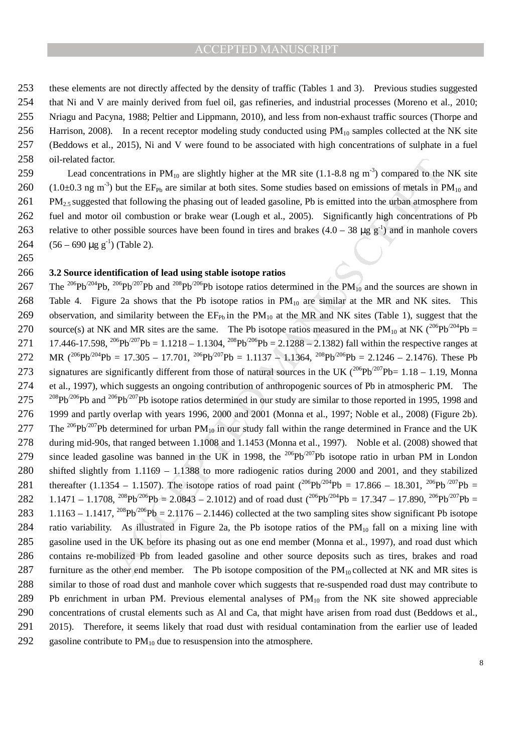these elements are not directly affected by the density of traffic (Tables 1 and 3). Previous studies suggested that Ni and V are mainly derived from fuel oil, gas refineries, and industrial processes (Moreno et al., 2010; Nriagu and Pacyna, 1988; Peltier and Lippmann, 2010), and less from non-exhaust traffic sources (Thorpe and 256 Harrison, 2008). In a recent receptor modeling study conducted using  $PM_{10}$  samples collected at the NK site (Beddows et al., 2015), Ni and V were found to be associated with high concentrations of sulphate in a fuel oil-related factor.

259 Lead concentrations in  $PM_{10}$  are slightly higher at the MR site (1.1-8.8 ng m<sup>-3</sup>) compared to the NK site  $(1.0\pm0.3 \text{ ng m}^3)$  but the EF<sub>Pb</sub> are similar at both sites. Some studies based on emissions of metals in PM<sub>10</sub> and  $261$  PM<sub>2.5</sub> suggested that following the phasing out of leaded gasoline, Pb is emitted into the urban atmosphere from 262 fuel and motor oil combustion or brake wear (Lough et al., 2005). Significantly high concentrations of Pb 263 relative to other possible sources have been found in tires and brakes  $(4.0 - 38 \mu g g^{-1})$  and in manhole covers 264  $(56 - 690 \text{ µg g}^{-1})$  (Table 2).

265

#### 266 **3.2 Source identification of lead using stable isotope ratios**

I. That<br>intractions in PM<sub>10</sub> are slightly higher at the MR site (1.1-8.8 ng m<sup>2</sup>) compared to the<br>b but the EF<sub>Ps</sub> are similar at both sites. Some studies based on emissions of metals in P<br>that following the phasing out 267 The <sup>206</sup>Pb<sup>/204</sup>Pb, <sup>206</sup>Pb<sup>/207</sup>Pb and <sup>208</sup>Pb<sup>/206</sup>Pb isotope ratios determined in the PM<sub>10</sub> and the sources are shown in 268 Table 4. Figure 2a shows that the Pb isotope ratios in  $PM_{10}$  are similar at the MR and NK sites. This 269 observation, and similarity between the  $EF_{Pb}$  in the PM<sub>10</sub> at the MR and NK sites (Table 1), suggest that the 270 source(s) at NK and MR sites are the same. The Pb isotope ratios measured in the PM<sub>10</sub> at NK  $(206Pb^{204}Pb =$ 271 17.446-17.598,  $^{206}Pb^{/207}Pb = 1.1218 - 1.1304$ ,  $^{208}Pb^{/206}Pb = 2.1288 - 2.1382$ ) fall within the respective ranges at 272 MR  $(^{206}Pb^{/204}Pb = 17.305 - 17.701$ ,  $^{206}Pb^{/207}Pb = 1.1137 - 1.1364$ ,  $^{208}Pb^{/206}Pb = 2.1246 - 2.1476$ ). These Pb 273 signatures are significantly different from those of natural sources in the UK ( $^{206}Pb^{207}Pb= 1.18 - 1.19$ , Monna 274 et al., 1997), which suggests an ongoing contribution of anthropogenic sources of Pb in atmospheric PM. The  $275$  <sup>208</sup>Pb<sup>/206</sup>Pb and <sup>206</sup>Pb<sup>/207</sup>Pb isotope ratios determined in our study are similar to those reported in 1995, 1998 and 276 1999 and partly overlap with years 1996, 2000 and 2001 (Monna et al., 1997; Noble et al., 2008) (Figure 2b). 277 The <sup>206</sup>Pb<sup>/207</sup>Pb determined for urban PM<sub>10</sub> in our study fall within the range determined in France and the UK 278 during mid-90s, that ranged between 1.1008 and 1.1453 (Monna et al., 1997). Noble et al. (2008) showed that 279 since leaded gasoline was banned in the UK in 1998, the <sup>206</sup>Pb<sup>/207</sup>Pb isotope ratio in urban PM in London 280 shifted slightly from 1.1169 – 1.1388 to more radiogenic ratios during 2000 and 2001, and they stabilized 281 thereafter (1.1354 – 1.1507). The isotope ratios of road paint ( $^{206}Pb^{204}Pb = 17.866 - 18.301$ ,  $^{206}Pb^{207}Pb =$ 282 1.1471 – 1.1708,  $^{208}Pb^{/206}Pb = 2.0843 - 2.1012$  and of road dust  $(^{206}Pb^{/204}Pb = 17.347 - 17.890$ ,  $^{206}Pb^{/207}Pb =$ 283 1.1163 – 1.1417,  $^{208}Pb^{206}Pb = 2.1176 - 2.1446$ ) collected at the two sampling sites show significant Pb isotope 284 ratio variability. As illustrated in Figure 2a, the Pb isotope ratios of the  $PM_{10}$  fall on a mixing line with 285 gasoline used in the UK before its phasing out as one end member (Monna et al., 1997), and road dust which 286 contains re-mobilized Pb from leaded gasoline and other source deposits such as tires, brakes and road 287 furniture as the other end member. The Pb isotope composition of the  $PM_{10}$  collected at NK and MR sites is 288 similar to those of road dust and manhole cover which suggests that re-suspended road dust may contribute to 289 Pb enrichment in urban PM. Previous elemental analyses of PM<sub>10</sub> from the NK site showed appreciable 290 concentrations of crustal elements such as Al and Ca, that might have arisen from road dust (Beddows et al., 291 2015). Therefore, it seems likely that road dust with residual contamination from the earlier use of leaded 292 gasoline contribute to  $PM_{10}$  due to resuspension into the atmosphere.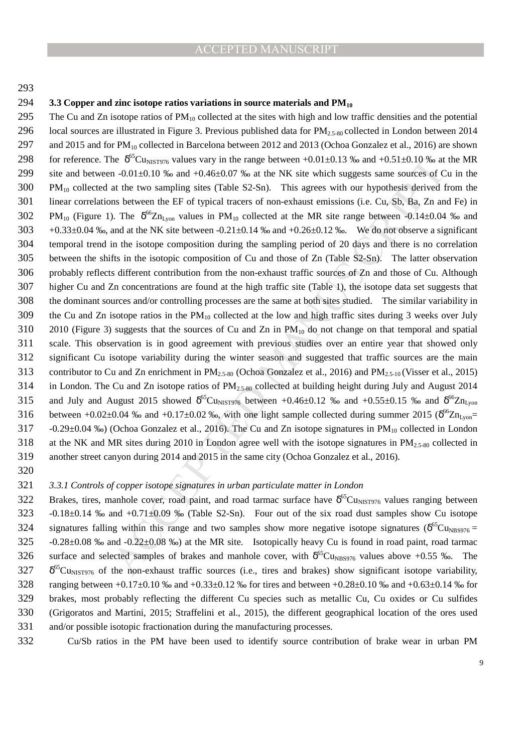#### ACCEPTED MANUSCRIPT

#### 293

#### 294 **3.3 Copper and zinc isotope ratios variations in source materials and PM<sup>10</sup>**

be <sup>86</sup><sup>C</sup>Cu<sub>nst</sub>rops values way in the range between -10.01-0.13 <sup>36</sup><sub>o</sub> and  $+0.51\pm0.10$  <sup>76</sup><sup>o</sup>s at the UNS in a -0.01-05 <sup>36</sup> and -0.4 cut of the two sampling sites (Table S2-Sn). This agrees with our hypothesis deri 295 The Cu and Zn isotope ratios of  $PM_{10}$  collected at the sites with high and low traffic densities and the potential 296 local sources are illustrated in Figure 3. Previous published data for  $PM_{2.5-80}$  collected in London between 2014 297 and 2015 and for PM<sub>10</sub> collected in Barcelona between 2012 and 2013 (Ochoa Gonzalez et al., 2016) are shown 298 for reference. The  $\delta^{65}$ Cu<sub>NIST976</sub> values vary in the range between +0.01±0.13 ‰ and +0.51±0.10 ‰ at the MR 299 site and between -0.01±0.10 ‰ and +0.46±0.07 ‰ at the NK site which suggests same sources of Cu in the 300 PM10 collected at the two sampling sites (Table S2-Sn). This agrees with our hypothesis derived from the 301 linear correlations between the EF of typical tracers of non-exhaust emissions (i.e. Cu, Sb, Ba, Zn and Fe) in  $302$  PM<sub>10</sub> (Figure 1). The  $\delta^{66}Zn_{Lyon}$  values in PM<sub>10</sub> collected at the MR site range between -0.14±0.04 ‰ and  $303 +0.33\pm0.04$  ‰, and at the NK site between  $-0.21\pm0.14$  ‰ and  $+0.26\pm0.12$  ‰. We do not observe a significant 304 temporal trend in the isotope composition during the sampling period of 20 days and there is no correlation 305 between the shifts in the isotopic composition of Cu and those of Zn (Table S2-Sn). The latter observation 306 probably reflects different contribution from the non-exhaust traffic sources of Zn and those of Cu. Although 307 higher Cu and Zn concentrations are found at the high traffic site (Table 1), the isotope data set suggests that 308 the dominant sources and/or controlling processes are the same at both sites studied. The similar variability in 309 the Cu and Zn isotope ratios in the  $PM_{10}$  collected at the low and high traffic sites during 3 weeks over July 310 2010 (Figure 3) suggests that the sources of Cu and Zn in PM10 do not change on that temporal and spatial 311 scale. This observation is in good agreement with previous studies over an entire year that showed only 312 significant Cu isotope variability during the winter season and suggested that traffic sources are the main 313 contributor to Cu and Zn enrichment in  $PM_{2,5-80}$  (Ochoa Gonzalez et al., 2016) and  $PM_{2,5-10}$  (Visser et al., 2015) 314 in London. The Cu and Zn isotope ratios of  $PM_{2,5,80}$  collected at building height during July and August 2014 315 and July and August 2015 showed  $\delta^{65}Cu_{NIST976}$  between +0.46±0.12 ‰ and +0.55±0.15 ‰ and  $\delta^{66}Zn_{Lyon}$ 316 between +0.02±0.04 ‰ and +0.17±0.02 ‰, with one light sample collected during summer 2015 ( $\delta^{66}Zn_{Lyon}$ = 317 -0.29±0.04 ‰) (Ochoa Gonzalez et al., 2016). The Cu and Zn isotope signatures in PM<sub>10</sub> collected in London 318 at the NK and MR sites during 2010 in London agree well with the isotope signatures in  $PM_{2.5-80}$  collected in 319 another street canyon during 2014 and 2015 in the same city (Ochoa Gonzalez et al., 2016).

320

#### 321 *3.3.1 Controls of copper isotope signatures in urban particulate matter in London*

322 Brakes, tires, manhole cover, road paint, and road tarmac surface have  $\delta^{65}Cu_{NIST976}$  values ranging between 323 -0.18±0.14 ‰ and +0.71±0.09 ‰ (Table S2-Sn). Four out of the six road dust samples show Cu isotope 324 signatures falling within this range and two samples show more negative isotope signatures ( $\delta^{65}Cu_{NBS976}$  = 325 -0.28±0.08 ‰ and -0.22±0.08 ‰) at the MR site. Isotopically heavy Cu is found in road paint, road tarmac 326 surface and selected samples of brakes and manhole cover, with  $\delta^{65}Cu_{\text{NBS976}}$  values above +0.55 ‰. The  $327$   $\delta^{65}$ Cu<sub>NIST976</sub> of the non-exhaust traffic sources (i.e., tires and brakes) show significant isotope variability, 328 ranging between  $+0.17\pm0.10$  ‰ and  $+0.33\pm0.12$  ‰ for tires and between  $+0.28\pm0.10$  ‰ and  $+0.63\pm0.14$  ‰ for 329 brakes, most probably reflecting the different Cu species such as metallic Cu, Cu oxides or Cu sulfides 330 (Grigoratos and Martini, 2015; Straffelini et al., 2015), the different geographical location of the ores used 331 and/or possible isotopic fractionation during the manufacturing processes.

332 Cu/Sb ratios in the PM have been used to identify source contribution of brake wear in urban PM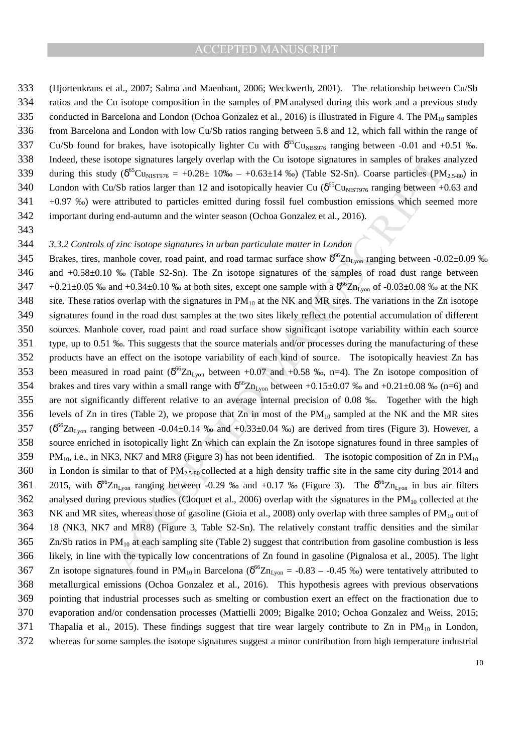#### ACCEPTED MANUSCRIPT

333 (Hjortenkrans et al., 2007; Salma and Maenhaut, 2006; Weckwerth, 2001). The relationship between Cu/Sb 334 ratios and the Cu isotope composition in the samples of PM analysed during this work and a previous study 335 conducted in Barcelona and London (Ochoa Gonzalez et al., 2016) is illustrated in Figure 4. The PM<sub>10</sub> samples 336 from Barcelona and London with low Cu/Sb ratios ranging between 5.8 and 12, which fall within the range of 337 Cu/Sb found for brakes, have isotopically lighter Cu with  $\delta^{65}$ Cu<sub>NBS976</sub> ranging between -0.01 and +0.51 ‰. 338 Indeed, these isotope signatures largely overlap with the Cu isotope signatures in samples of brakes analyzed 339 during this study  $(\delta^{65}Cu_{NIST976} = +0.28 \pm 10\% - +0.63 \pm 14\%)$  (Table S2-Sn). Coarse particles (PM<sub>2.5-80</sub>) in 340 London with Cu/Sb ratios larger than 12 and isotopically heavier Cu ( $\delta^{65}$ Cu<sub>NIST976</sub> ranging between +0.63 and 341 +0.97 ‰) were attributed to particles emitted during fossil fuel combustion emissions which seemed more 342 important during end-autumn and the winter season (Ochoa Gonzalez et al., 2016).

343

#### 344 *3.3.2 Controls of zinc isotope signatures in urban particulate matter in London*

otopy signatures largely overlap with he C isotopy signatures in samples of brakes Ny ( $8^{16}$ Cussers  $\approx$  +0.28± 10% – +0.63±14 %o) (Table S2-Sn). Coarse particles (PM<br>vSB<sup>-</sup> cusses  $8^{16}$ Cussers = +0.28± 10% – +0.63±14 345 Brakes, tires, manhole cover, road paint, and road tarmac surface show  $\delta^{66}Zn_{Lyon}$  ranging between -0.02 $\pm$ 0.09 % 346 and +0.58±0.10 ‰ (Table S2-Sn). The Zn isotope signatures of the samples of road dust range between  $147 + 0.21 \pm 0.05$  % and  $+0.34 \pm 0.10$  % at both sites, except one sample with a  $\delta^{66}Zn_{Lyon}$  of  $-0.03 \pm 0.08$  % at the NK 348 site. These ratios overlap with the signatures in  $PM_{10}$  at the NK and MR sites. The variations in the Zn isotope 349 signatures found in the road dust samples at the two sites likely reflect the potential accumulation of different 350 sources. Manhole cover, road paint and road surface show significant isotope variability within each source 351 type, up to 0.51 ‰. This suggests that the source materials and/or processes during the manufacturing of these 352 products have an effect on the isotope variability of each kind of source. The isotopically heaviest Zn has 353 been measured in road paint ( $\delta^{66}Zn_{Lyon}$  between +0.07 and +0.58 ‰, n=4). The Zn isotope composition of 354 brakes and tires vary within a small range with  $\delta^{66}Zn_{Lyon}$  between +0.15±0.07 ‰ and +0.21±0.08 ‰ (n=6) and 355 are not significantly different relative to an average internal precision of 0.08 ‰. Together with the high 356 levels of Zn in tires (Table 2), we propose that Zn in most of the  $PM_{10}$  sampled at the NK and the MR sites  $357$  ( $\delta^{66}Zn_{Lyon}$  ranging between -0.04±0.14 ‰ and +0.33±0.04 ‰) are derived from tires (Figure 3). However, a 358 source enriched in isotopically light Zn which can explain the Zn isotope signatures found in three samples of  $359$  PM<sub>10</sub>, i.e., in NK3, NK7 and MR8 (Figure 3) has not been identified. The isotopic composition of Zn in PM<sub>10</sub> 360 in London is similar to that of  $PM_{2.5-80}$  collected at a high density traffic site in the same city during 2014 and 361 2015, with  $\delta^{66}Zn_{Lyon}$  ranging between -0.29 ‰ and +0.17 ‰ (Figure 3). The  $\delta^{66}Zn_{Lyon}$  in bus air filters 362 analysed during previous studies (Cloquet et al., 2006) overlap with the signatures in the  $PM_{10}$  collected at the 363 NK and MR sites, whereas those of gasoline (Gioia et al., 2008) only overlap with three samples of  $PM_{10}$  out of 364 18 (NK3, NK7 and MR8) (Figure 3, Table S2-Sn). The relatively constant traffic densities and the similar  $365$  Zn/Sb ratios in PM<sub>10</sub> at each sampling site (Table 2) suggest that contribution from gasoline combustion is less 366 likely, in line with the typically low concentrations of Zn found in gasoline (Pignalosa et al., 2005). The light 367 Zn isotope signatures found in PM<sub>10</sub> in Barcelona ( $\delta^{66}Zn_{Lyon}$  = -0.83 – -0.45 ‰) were tentatively attributed to 368 metallurgical emissions (Ochoa Gonzalez et al., 2016). This hypothesis agrees with previous observations 369 pointing that industrial processes such as smelting or combustion exert an effect on the fractionation due to 370 evaporation and/or condensation processes (Mattielli 2009; Bigalke 2010; Ochoa Gonzalez and Weiss, 2015; 371 Thapalia et al., 2015). These findings suggest that tire wear largely contribute to Zn in  $PM_{10}$  in London, 372 whereas for some samples the isotope signatures suggest a minor contribution from high temperature industrial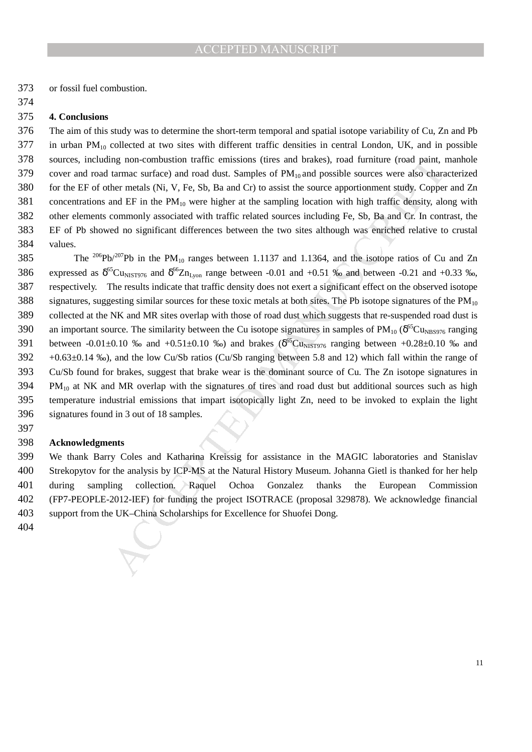or fossil fuel combustion.

#### **4. Conclusions**

The aim of this study was to determine the short-term temporal and spatial isotope variability of Cu, Zn and Pb in urban PM<sub>10</sub> collected at two sites with different traffic densities in central London, UK, and in possible sources, including non-combustion traffic emissions (tires and brakes), road furniture (road paint, manhole 379 cover and road tarmac surface) and road dust. Samples of PM<sub>10</sub> and possible sources were also characterized for the EF of other metals (Ni, V, Fe, Sb, Ba and Cr) to assist the source apportionment study. Copper and Zn 381 concentrations and EF in the  $PM_{10}$  were higher at the sampling location with high traffic density, along with other elements commonly associated with traffic related sources including Fe, Sb, Ba and Cr. In contrast, the EF of Pb showed no significant differences between the two sites although was enriched relative to crustal values.

gn on-combutstion traffic emissions (tires and brakes), road furniture (road paint,<br>htmma surface) and road dust. Samples of PM<sub>B</sub> and possible sources were also character the term tentals (Ni, V, Fe, Sb, Ba and Cr) to as 385 The  $^{206}Pb^{207}Pb$  in the PM<sub>10</sub> ranges between 1.1137 and 1.1364, and the isotope ratios of Cu and Zn 386 expressed as  $\delta^{65}$ Cu<sub>NIST976</sub> and  $\delta^{66}$ Zn<sub>Lyon</sub> range between -0.01 and +0.51 ‰ and between -0.21 and +0.33 ‰, respectively. The results indicate that traffic density does not exert a significant effect on the observed isotope 388 signatures, suggesting similar sources for these toxic metals at both sites. The Pb isotope signatures of the  $PM_{10}$ collected at the NK and MR sites overlap with those of road dust which suggests that re-suspended road dust is 390 an important source. The similarity between the Cu isotope signatures in samples of  $PM_{10}$  ( $\delta^{65}Cu_{NBS976}$  ranging 391 between -0.01 $\pm$ 0.10 ‰ and  $+0.51\pm0.10$  ‰) and brakes ( $\delta^{65}Cu_{NIST976}$  ranging between  $+0.28\pm0.10$  ‰ and  $392 +0.63\pm0.14$  %o), and the low Cu/Sb ratios (Cu/Sb ranging between 5.8 and 12) which fall within the range of Cu/Sb found for brakes, suggest that brake wear is the dominant source of Cu. The Zn isotope signatures in PM<sub>10</sub> at NK and MR overlap with the signatures of tires and road dust but additional sources such as high temperature industrial emissions that impart isotopically light Zn, need to be invoked to explain the light signatures found in 3 out of 18 samples.

#### **Acknowledgments**

We thank Barry Coles and Katharina Kreissig for assistance in the MAGIC laboratories and Stanislav Strekopytov for the analysis by ICP-MS at the Natural History Museum. Johanna Gietl is thanked for her help during sampling collection. Raquel Ochoa Gonzalez thanks the European Commission (FP7-PEOPLE-2012-IEF) for funding the project ISOTRACE (proposal 329878). We acknowledge financial support from the UK–China Scholarships for Excellence for Shuofei Dong.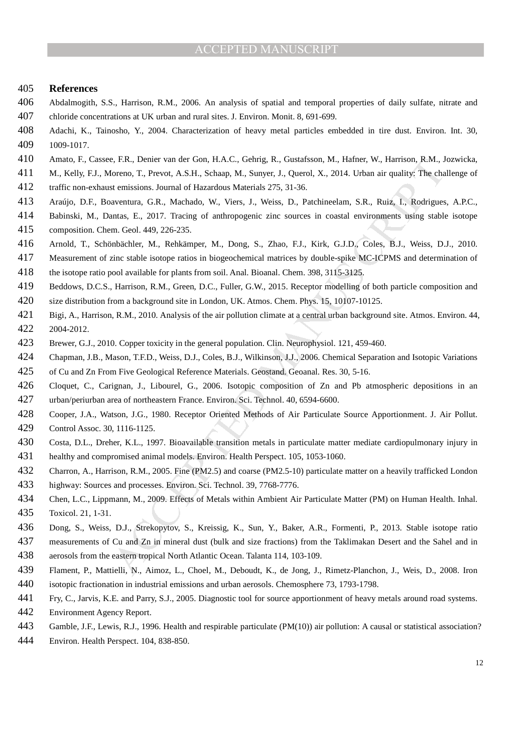#### **References**

- Abdalmogith, S.S., Harrison, R.M., 2006. An analysis of spatial and temporal properties of daily sulfate, nitrate and chloride concentrations at UK urban and rural sites. J. Environ. Monit. 8, 691-699.
- Adachi, K., Tainosho, Y., 2004. Characterization of heavy metal particles embedded in tire dust. Environ. Int. 30, 1009-1017.
- Amato, F., Cassee, F.R., Denier van der Gon, H.A.C., Gehrig, R., Gustafsson, M., Hafner, W., Harrison, R.M., Jozwicka,
- M., Kelly, F.J., Moreno, T., Prevot, A.S.H., Schaap, M., Sunyer, J., Querol, X., 2014. Urban air quality: The challenge of traffic non-exhaust emissions. Journal of Hazardous Materials 275, 31-36.
- Araújo, D.F., Boaventura, G.R., Machado, W., Viers, J., Weiss, D., Patchineelam, S.R., Ruiz, I., Rodrigues, A.P.C.,
- Babinski, M., Dantas, E., 2017. Tracing of anthropogenic zinc sources in coastal environments using stable isotope composition. Chem. Geol. 449, 226-235.
- Arnold, T., Schönbächler, M., Rehkämper, M., Dong, S., Zhao, F.J., Kirk, G.J.D., Coles, B.J., Weiss, D.J., 2010.
- Measurement of zinc stable isotope ratios in biogeochemical matrices by double-spike MC-ICPMS and determination of
- the isotope ratio pool available for plants from soil. Anal. Bioanal. Chem. 398, 3115-3125.
- Beddows, D.C.S., Harrison, R.M., Green, D.C., Fuller, G.W., 2015. Receptor modelling of both particle composition and
- size distribution from a background site in London, UK. Atmos. Chem. Phys. 15, 10107-10125.
- Bigi, A., Harrison, R.M., 2010. Analysis of the air pollution climate at a central urban background site. Atmos. Environ. 44, 2004-2012.
- Brewer, G.J., 2010. Copper toxicity in the general population. Clin. Neurophysiol. 121, 459-460.
- Chapman, J.B., Mason, T.F.D., Weiss, D.J., Coles, B.J., Wilkinson, J.J., 2006. Chemical Separation and Isotopic Variations of Cu and Zn From Five Geological Reference Materials. Geostand. Geoanal. Res. 30, 5-16.
- E. FR., Deniet van der Goo, H.A.C., Geltrig, R., Gostafsson, M., Hafner, W., Harrison, R.M., F. Person, R.M., Henrison, R.M., Henrison, R.M., Henrison, F.M., Henrison, F.M., Henrison, F.M., Mechaniston, S.R., Mechaniston, Cloquet, C., Carignan, J., Libourel, G., 2006. Isotopic composition of Zn and Pb atmospheric depositions in an urban/periurban area of northeastern France. Environ. Sci. Technol. 40, 6594-6600.
- Cooper, J.A., Watson, J.G., 1980. Receptor Oriented Methods of Air Particulate Source Apportionment. J. Air Pollut. Control Assoc. 30, 1116-1125.
- Costa, D.L., Dreher, K.L., 1997. Bioavailable transition metals in particulate matter mediate cardiopulmonary injury in healthy and compromised animal models. Environ. Health Perspect. 105, 1053-1060.
- Charron, A., Harrison, R.M., 2005. Fine (PM2.5) and coarse (PM2.5-10) particulate matter on a heavily trafficked London highway: Sources and processes. Environ. Sci. Technol. 39, 7768-7776.
- Chen, L.C., Lippmann, M., 2009. Effects of Metals within Ambient Air Particulate Matter (PM) on Human Health. Inhal. Toxicol. 21, 1-31.
- Dong, S., Weiss, D.J., Strekopytov, S., Kreissig, K., Sun, Y., Baker, A.R., Formenti, P., 2013. Stable isotope ratio
- measurements of Cu and Zn in mineral dust (bulk and size fractions) from the Taklimakan Desert and the Sahel and in aerosols from the eastern tropical North Atlantic Ocean. Talanta 114, 103-109.
- Flament, P., Mattielli, N., Aimoz, L., Choel, M., Deboudt, K., de Jong, J., Rimetz-Planchon, J., Weis, D., 2008. Iron
- isotopic fractionation in industrial emissions and urban aerosols. Chemosphere 73, 1793-1798.
- Fry, C., Jarvis, K.E. and Parry, S.J., 2005. Diagnostic tool for source apportionment of heavy metals around road systems. Environment Agency Report.
- Gamble, J.F., Lewis, R.J., 1996. Health and respirable particulate (PM(10)) air pollution: A causal or statistical association?
- Environ. Health Perspect. 104, 838-850.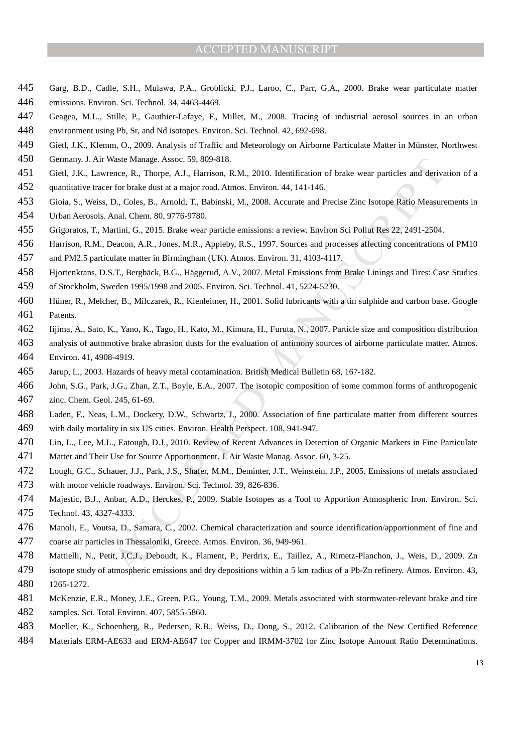- Garg, B.D., Cadle, S.H., Mulawa, P.A., Groblicki, P.J., Laroo, C., Parr, G.A., 2000. Brake wear particulate matter emissions. Environ. Sci. Technol. 34, 4463-4469.
- Geagea, M.L., Stille, P., Gauthier-Lafaye, F., Millet, M., 2008. Tracing of industrial aerosol sources in an urban
- environment using Pb, Sr, and Nd isotopes. Environ. Sci. Technol. 42, 692-698.
- Gietl, J.K., Klemm, O., 2009. Analysis of Traffic and Meteorology on Airborne Particulate Matter in Münster, Northwest
- Germany. J. Air Waste Manage. Assoc. 59, 809-818.
- Gietl, J.K., Lawrence, R., Thorpe, A.J., Harrison, R.M., 2010. Identification of brake wear particles and derivation of a
- quantitative tracer for brake dust at a major road. Atmos. Environ. 44, 141-146.
- Gioia, S., Weiss, D., Coles, B., Arnold, T., Babinski, M., 2008. Accurate and Precise Zinc Isotope Ratio Measurements in
- Urban Aerosols. Anal. Chem. 80, 9776-9780.
- Grigoratos, T., Martini, G., 2015. Brake wear particle emissions: a review. Environ Sci Pollut Res 22, 2491-2504.
- Harrison, R.M., Deacon, A.R., Jones, M.R., Appleby, R.S., 1997. Sources and processes affecting concentrations of PM10 and PM2.5 particulate matter in Birmingham (UK). Atmos. Environ. 31, 4103-4117.
- 
- Hjortenkrans, D.S.T., Bergbäck, B.G., Häggerud, A.V., 2007. Metal Emissions from Brake Linings and Tires: Case Studies of Stockholm, Sweden 1995/1998 and 2005. Environ. Sci. Technol. 41, 5224-5230.
- Hüner, R., Melcher, B., Milczarek, R., Kienleitner, H., 2001. Solid lubricants with a tin sulphide and carbon base. Google Patents.
- Iijima, A., Sato, K., Yano, K., Tago, H., Kato, M., Kimura, H., Furuta, N., 2007. Particle size and composition distribution
- analysis of automotive brake abrasion dusts for the evaluation of antimony sources of airborne particulate matter. Atmos. Environ. 41, 4908-4919.
- Jarup, L., 2003. Hazards of heavy metal contamination. British Medical Bulletin 68, 167-182.
- John, S.G., Park, J.G., Zhan, Z.T., Boyle, E.A., 2007. The isotopic composition of some common forms of anthropogenic zinc. Chem. Geol. 245, 61-69.
- Laden, F., Neas, L.M., Dockery, D.W., Schwartz, J., 2000. Association of fine particulate matter from different sources with daily mortality in six US cities. Environ. Health Perspect. 108, 941-947.
- Lin, L., Lee, M.L., Eatough, D.J., 2010. Review of Recent Advances in Detection of Organic Markers in Fine Particulate Matter and Their Use for Source Apportionment. J. Air Waste Manag. Assoc. 60, 3-25.
- Lough, G.C., Schauer, J.J., Park, J.S., Shafer, M.M., Deminter, J.T., Weinstein, J.P., 2005. Emissions of metals associated with motor vehicle roadways. Environ. Sci. Technol. 39, 826-836.
- Majestic, B.J., Anbar, A.D., Herckes, P., 2009. Stable Isotopes as a Tool to Apportion Atmospheric Iron. Environ. Sci. Technol. 43, 4327-4333.
- Waste Manage, Assoc. 59, 809-818.<br>
Matema, Assoc. 89, 809-818.<br>
Matema, Assoc. 89, 809-818.<br>
enece, R., Thorpe, A.J., Harrison, R.M., 2010. Identification of brake war particles and deriva<br>
from brake dust at a major road. Manoli, E., Voutsa, D., Samara, C., 2002. Chemical characterization and source identification/apportionment of fine and coarse air particles in Thessaloniki, Greece. Atmos. Environ. 36, 949-961.
- Mattielli, N., Petit, J.C.J., Deboudt, K., Flament, P., Perdrix, E., Taillez, A., Rimetz-Planchon, J., Weis, D., 2009. Zn
- isotope study of atmospheric emissions and dry depositions within a 5 km radius of a Pb-Zn refinery. Atmos. Environ. 43, 1265-1272.
- McKenzie, E.R., Money, J.E., Green, P.G., Young, T.M., 2009. Metals associated with stormwater-relevant brake and tire samples. Sci. Total Environ. 407, 5855-5860.
- Moeller, K., Schoenberg, R., Pedersen, R.B., Weiss, D., Dong, S., 2012. Calibration of the New Certified Reference
- Materials ERM-AE633 and ERM-AE647 for Copper and IRMM-3702 for Zinc Isotope Amount Ratio Determinations.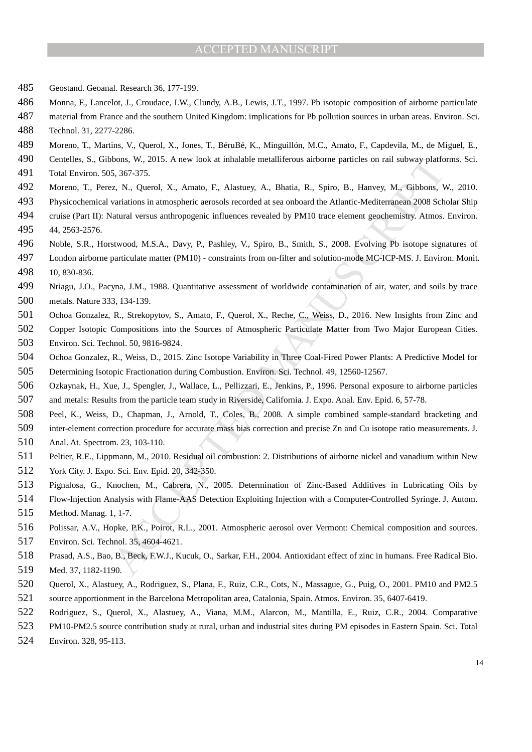#### ACCEPTED MANUSCRIPT

- Geostand. Geoanal. Research 36, 177-199.
- Monna, F., Lancelot, J., Croudace, I.W., Clundy, A.B., Lewis, J.T., 1997. Pb isotopic composition of airborne particulate
- material from France and the southern United Kingdom: implications for Pb pollution sources in urban areas. Environ. Sci.
- Technol. 31, 2277-2286.
- Moreno, T., Martins, V., Querol, X., Jones, T., BéruBé, K., Minguillón, M.C., Amato, F., Capdevila, M., de Miguel, E.,
- Centelles, S., Gibbons, W., 2015. A new look at inhalable metalliferous airborne particles on rail subway platforms. Sci.
- Total Environ. 505, 367-375.
- Moreno, T., Perez, N., Querol, X., Amato, F., Alastuey, A., Bhatia, R., Spiro, B., Hanvey, M., Gibbons, W., 2010.
- Physicochemical variations in atmospheric aerosols recorded at sea onboard the Atlantic-Mediterranean 2008 Scholar Ship
- cruise (Part II): Natural versus anthropogenic influences revealed by PM10 trace element geochemistry. Atmos. Environ. 44, 2563-2576.
- Noble, S.R., Horstwood, M.S.A., Davy, P., Pashley, V., Spiro, B., Smith, S., 2008. Evolving Pb isotope signatures of
- London airborne particulate matter (PM10) constraints from on-filter and solution-mode MC-ICP-MS. J. Environ. Monit. 10, 830-836.
- Nriagu, J.O., Pacyna, J.M., 1988. Quantitative assessment of worldwide contamination of air, water, and soils by trace metals. Nature 333, 134-139.
- Ochoa Gonzalez, R., Strekopytov, S., Amato, F., Querol, X., Reche, C., Weiss, D., 2016. New Insights from Zinc and
- boas, W., 2015. A new look at inhalable metalliferons airbone particles on rail subway platforms, W., 2015. A new look at inhalable metalliferons airbone particles on rail subway platforms. E. S., 367-375.<br>
25., 367-375.<br> Copper Isotopic Compositions into the Sources of Atmospheric Particulate Matter from Two Major European Cities. Environ. Sci. Technol. 50, 9816-9824.
- Ochoa Gonzalez, R., Weiss, D., 2015. Zinc Isotope Variability in Three Coal-Fired Power Plants: A Predictive Model for Determining Isotopic Fractionation during Combustion. Environ. Sci. Technol. 49, 12560-12567.
- Ozkaynak, H., Xue, J., Spengler, J., Wallace, L., Pellizzari, E., Jenkins, P., 1996. Personal exposure to airborne particles and metals: Results from the particle team study in Riverside, California. J. Expo. Anal. Env. Epid. 6, 57-78.
- Peel, K., Weiss, D., Chapman, J., Arnold, T., Coles, B., 2008. A simple combined sample-standard bracketing and
- inter-element correction procedure for accurate mass bias correction and precise Zn and Cu isotope ratio measurements. J. Anal. At. Spectrom. 23, 103-110.
- Peltier, R.E., Lippmann, M., 2010. Residual oil combustion: 2. Distributions of airborne nickel and vanadium within New York City. J. Expo. Sci. Env. Epid. 20, 342-350.
- Pignalosa, G., Knochen, M., Cabrera, N., 2005. Determination of Zinc-Based Additives in Lubricating Oils by
- Flow-Injection Analysis with Flame-AAS Detection Exploiting Injection with a Computer-Controlled Syringe. J. Autom.
- Method. Manag. 1, 1-7.
- Polissar, A.V., Hopke, P.K., Poirot, R.L., 2001. Atmospheric aerosol over Vermont: Chemical composition and sources.
- Environ. Sci. Technol. 35, 4604-4621.
- Prasad, A.S., Bao, B., Beck, F.W.J., Kucuk, O., Sarkar, F.H., 2004. Antioxidant effect of zinc in humans. Free Radical Bio. Med. 37, 1182-1190.
- Querol, X., Alastuey, A., Rodriguez, S., Plana, F., Ruiz, C.R., Cots, N., Massague, G., Puig, O., 2001. PM10 and PM2.5 source apportionment in the Barcelona Metropolitan area, Catalonia, Spain. Atmos. Environ. 35, 6407-6419.
- Rodriguez, S., Querol, X., Alastuey, A., Viana, M.M., Alarcon, M., Mantilla, E., Ruiz, C.R., 2004. Comparative
- PM10-PM2.5 source contribution study at rural, urban and industrial sites during PM episodes in Eastern Spain. Sci. Total
- Environ. 328, 95-113.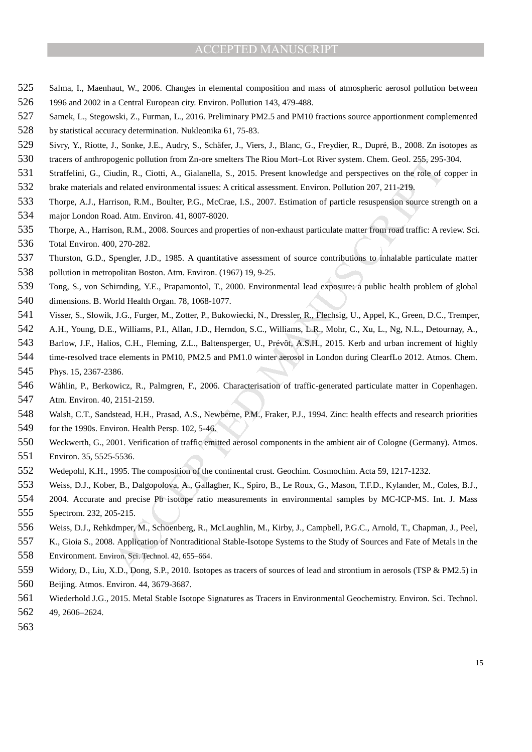- Salma, I., Maenhaut, W., 2006. Changes in elemental composition and mass of atmospheric aerosol pollution between
- 1996 and 2002 in a Central European city. Environ. Pollution 143, 479-488.
- Samek, L., Stegowski, Z., Furman, L., 2016. Preliminary PM2.5 and PM10 fractions source apportionment complemented
- by statistical accuracy determination. Nukleonika 61, 75-83.
- Sivry, Y., Riotte, J., Sonke, J.E., Audry, S., Schäfer, J., Viers, J., Blanc, G., Freydier, R., Dupré, B., 2008. Zn isotopes as
- tracers of anthropogenic pollution from Zn-ore smelters The Riou Mort–Lot River system. Chem. Geol. 255, 295-304.
- Straffelini, G., Ciudin, R., Ciotti, A., Gialanella, S., 2015. Present knowledge and perspectives on the role of copper in
- brake materials and related environmental issues: A critical assessment. Environ. Pollution 207, 211-219.
- Thorpe, A.J., Harrison, R.M., Boulter, P.G., McCrae, I.S., 2007. Estimation of particle resuspension source strength on a major London Road. Atm. Environ. 41, 8007-8020.
- Thorpe, A., Harrison, R.M., 2008. Sources and properties of non-exhaust particulate matter from road traffic: A review. Sci. Total Environ. 400, 270-282.
- Thurston, G.D., Spengler, J.D., 1985. A quantitative assessment of source contributions to inhalable particulate matter
- pollution in metropolitan Boston. Atm. Environ. (1967) 19, 9-25.
- Tong, S., von Schirnding, Y.E., Prapamontol, T., 2000. Environmental lead exposure: a public health problem of global dimensions. B. World Health Organ. 78, 1068-1077.
- Visser, S., Slowik, J.G., Furger, M., Zotter, P., Bukowiecki, N., Dressler, R., Flechsig, U., Appel, K., Green, D.C., Tremper,
- A.H., Young, D.E., Williams, P.I., Allan, J.D., Herndon, S.C., Williams, L.R., Mohr, C., Xu, L., Ng, N.L., Detournay, A.,
- Barlow, J.F., Halios, C.H., Fleming, Z.L., Baltensperger, U., Prévôt, A.S.H., 2015. Kerb and urban increment of highly
- time-resolved trace elements in PM10, PM2.5 and PM1.0 winter aerosol in London during ClearfLo 2012. Atmos. Chem. Phys. 15, 2367-2386.
- Wåhlin, P., Berkowicz, R., Palmgren, F., 2006. Characterisation of traffic-generated particulate matter in Copenhagen.
- Atm. Environ. 40, 2151-2159.
- Walsh, C.T., Sandstead, H.H., Prasad, A.S., Newberne, P.M., Fraker, P.J., 1994. Zinc: health effects and research priorities for the 1990s. Environ. Health Persp. 102, 5-46.
- ogenic pollution from ZA-ore smellers The Rion Mort-Lot River system. Chenn Geol. 255, 295, 295, 2015.<br>Present Enoughly, R.C. Cotti, A., Gialanella, S., 2015. Present Knowledge and perspectives on the role of ordical asses Weckwerth, G., 2001. Verification of traffic emitted aerosol components in the ambient air of Cologne (Germany). Atmos. Environ. 35, 5525-5536.
- Wedepohl, K.H., 1995. The composition of the continental crust. Geochim. Cosmochim. Acta 59, 1217-1232.
- Weiss, D.J., Kober, B., Dalgopolova, A., Gallagher, K., Spiro, B., Le Roux, G., Mason, T.F.D., Kylander, M., Coles, B.J.,
- 2004. Accurate and precise Pb isotope ratio measurements in environmental samples by MC-ICP-MS. Int. J. Mass Spectrom. 232, 205-215.
- Weiss, D.J., Rehkdmper, M., Schoenberg, R., McLaughlin, M., Kirby, J., Campbell, P.G.C., Arnold, T., Chapman, J., Peel,
- K., Gioia S., 2008. Application of Nontraditional Stable-Isotope Systems to the Study of Sources and Fate of Metals in the
- Environment. Environ. Sci. Technol. 42, 655–664.
- Widory, D., Liu, X.D., Dong, S.P., 2010. Isotopes as tracers of sources of lead and strontium in aerosols (TSP & PM2.5) in Beijing. Atmos. Environ. 44, 3679-3687.
- Wiederhold J.G., 2015. Metal Stable Isotope Signatures as Tracers in Environmental Geochemistry. Environ. Sci. Technol. 49, 2606–2624.
-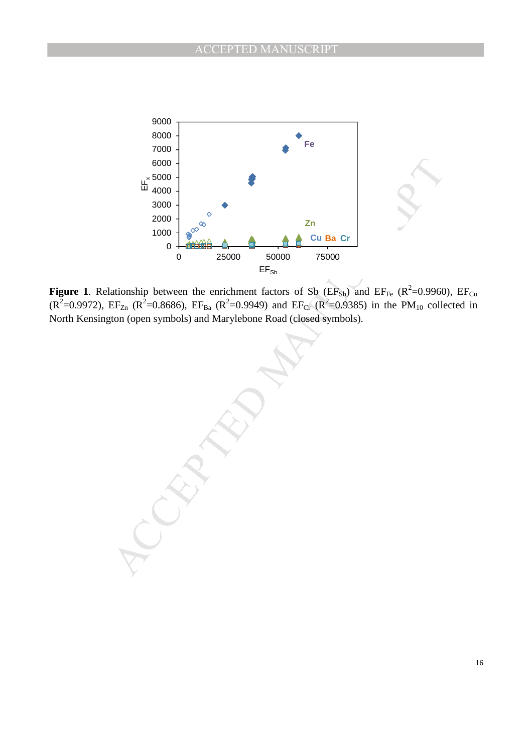

**Figure 1.** Relationship between the enrichment factors of Sb ( $EF_{Sb}$ ) and  $EF_{Fe}$  ( $R^2=0.9960$ ),  $EF_{Cu}$ ( $R^2$ =0.9972), EF<sub>Zn</sub> ( $R^2$ =0.8686), EF<sub>Ba</sub> ( $R^2$ =0.9949) and EF<sub>Cr</sub> ( $R^2$ =0.9385) in the PM<sub>10</sub> collected in North Kensington (open symbols) and Marylebone Road (closed symbols).

6000 -<br>  $\frac{1}{25000}$ <br>  $\frac{2000}{25000}$ <br>  $\frac{2000}{25000}$ <br>  $\frac{1}{25000}$ <br>  $\frac{1}{25000}$ <br>  $\frac{1}{25000}$ <br>  $\frac{1}{25000}$ <br>  $\frac{1}{25000}$ <br>  $\frac{1}{25000}$ <br>  $\frac{1}{2500}$ <br>  $\frac{1}{2500}$ <br>  $\frac{1}{2500}$ <br>  $\frac{1}{2500}$ <br>  $\frac{1}{2500}$ <br>  $\$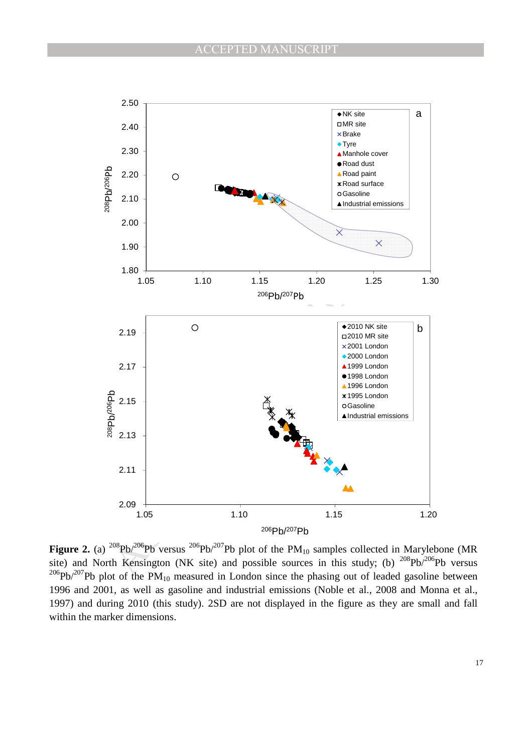

**Figure 2.** (a)  $^{208}Pb^{206}Pb$  versus  $^{206}Pb^{207}Pb$  plot of the PM<sub>10</sub> samples collected in Marylebone (MR site) and North Kensington (NK site) and possible sources in this study; (b)  $^{208}Pb^{206}Pb$  versus  $206Pb/207Pb$  plot of the PM<sub>10</sub> measured in London since the phasing out of leaded gasoline between 1996 and 2001, as well as gasoline and industrial emissions (Noble et al., 2008 and Monna et al., 1997) and during 2010 (this study). 2SD are not displayed in the figure as they are small and fall within the marker dimensions.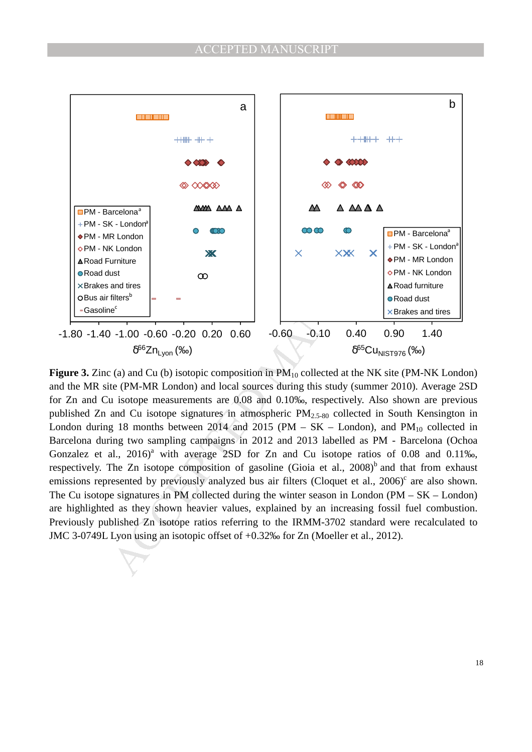

**Figure 3.** Zinc (a) and Cu (b) isotopic composition in  $PM_{10}$  collected at the NK site (PM-NK London) and the MR site (PM-MR London) and local sources during this study (summer 2010). Average 2SD for Zn and Cu isotope measurements are 0.08 and 0.10‰, respectively. Also shown are previous published Zn and Cu isotope signatures in atmospheric PM2.5-80 collected in South Kensington in London during 18 months between 2014 and 2015 (PM – SK – London), and PM $_{10}$  collected in Barcelona during two sampling campaigns in 2012 and 2013 labelled as PM - Barcelona (Ochoa Gonzalez et al.,  $2016$ <sup>a</sup> with average 2SD for Zn and Cu isotope ratios of 0.08 and 0.11‰, respectively. The Zn isotope composition of gasoline (Gioia et al.,  $2008$ )<sup>b</sup> and that from exhaust emissions represented by previously analyzed bus air filters (Cloquet et al., 2006)<sup>c</sup> are also shown. The Cu isotope signatures in PM collected during the winter season in London (PM – SK – London) are highlighted as they shown heavier values, explained by an increasing fossil fuel combustion. Previously published Zn isotope ratios referring to the IRMM-3702 standard were recalculated to JMC 3-0749L Lyon using an isotopic offset of +0.32‰ for Zn (Moeller et al., 2012).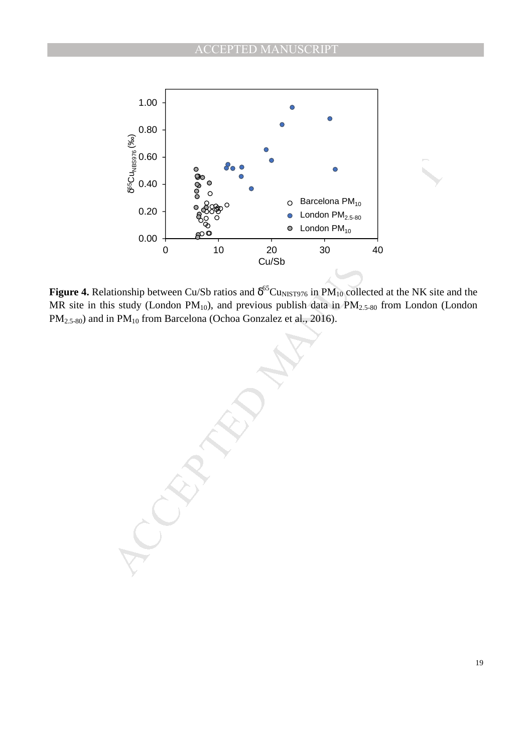

**Figure 4.** Relationship between Cu/Sb ratios and  $\delta^{65}$ Cu<sub>NIST976</sub> in PM<sub>10</sub> collected at the NK site and the MR site in this study (London  $PM_{10}$ ), and previous publish data in  $PM_{2.5-80}$  from London (London PM<sub>2.5-80</sub>) and in PM<sub>10</sub> from Barcelona (Ochoa Gonzalez et al., 2016).

 $\frac{3}{5}$ <br>  $\frac{3}{5}$ <br>  $\frac{3}{5}$ <br>  $\frac{3}{5}$ <br>  $\frac{3}{5}$ <br>  $\frac{3}{5}$ <br>  $\frac{3}{5}$ <br>  $\frac{3}{5}$ <br>  $\frac{3}{5}$ <br>  $\frac{3}{5}$ <br>  $\frac{3}{5}$ <br>  $\frac{3}{5}$ <br>  $\frac{3}{5}$ <br>  $\frac{3}{5}$ <br>  $\frac{3}{5}$ <br>  $\frac{3}{5}$ <br>  $\frac{3}{5}$ <br>  $\frac{3}{5}$ <br>  $\frac{3}{5}$ <br>  $\frac{3}{5}$ <br>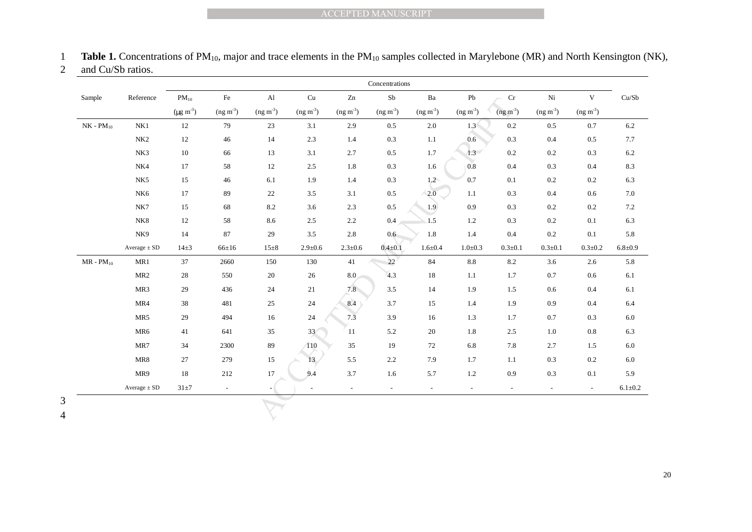|  |  |  | <b>Table 1.</b> Concentrations of $PM_{10}$ , major and trace elements in the $PM_{10}$ samples collected in Marylebone (MR) and North Kensington (NK), |  |  |
|--|--|--|---------------------------------------------------------------------------------------------------------------------------------------------------------|--|--|
|--|--|--|---------------------------------------------------------------------------------------------------------------------------------------------------------|--|--|

| 2 | and Cu/Sb ratios. |  |
|---|-------------------|--|
|---|-------------------|--|

|                  | and Cu/Sb ratios.                                         |                     |                          |               |                            |                | Concentrations           |                         |                 |                          |                          |                          |               |
|------------------|-----------------------------------------------------------|---------------------|--------------------------|---------------|----------------------------|----------------|--------------------------|-------------------------|-----------------|--------------------------|--------------------------|--------------------------|---------------|
| Sample           | Reference                                                 | $PM_{10}$           | $\rm Fe$                 | $\mathbf{Al}$ | $\ensuremath{\mathrm{Cu}}$ | $\mathbf{Zn}$  | S <sub>b</sub>           | $\mathbf{B} \mathbf{a}$ | ${\rm Pb}$      | $\rm Cr$                 | Ni                       | $\mathbf V$              | Cu/Sb         |
|                  |                                                           | $(\mu g \, m^{-3})$ | $(ng m-3)$               | $(ng m-3)$    | $(ng m-3)$                 | $(ng m-3)$     | $(ng m-3)$               | $(ng m-3)$              | $(ng m-3)$      | $(ng m-3)$               | $(ng m-3)$               | $(ng m-3)$               |               |
| $NK$ - $PM_{10}$ | NK1                                                       | 12                  | 79                       | $23\,$        | 3.1                        | $2.9\,$        | 0.5                      | $2.0\,$                 | 1.3             | 0.2                      | $0.5\,$                  | $0.7\,$                  | $6.2\,$       |
|                  | NK2                                                       | $12\,$              | 46                       | 14            | 2.3                        | 1.4            | 0.3                      | $1.1\,$                 | $0.6\,$         | 0.3                      | 0.4                      | $0.5\,$                  | $7.7\,$       |
|                  | NK3                                                       | $10\,$              | 66                       | 13            | 3.1                        | 2.7            | $0.5\,$                  | 1.7                     | $1.3 -$         | 0.2                      | 0.2                      | 0.3                      | 6.2           |
|                  | NK4                                                       | 17                  | 58                       | 12            | 2.5                        | 1.8            | 0.3                      | 1.6                     | 0.8             | 0.4                      | 0.3                      | 0.4                      | $8.3\,$       |
|                  | NK <sub>5</sub>                                           | 15                  | 46                       | 6.1           | 1.9                        | 1.4            | 0.3                      | 1.2                     | 0.7             | 0.1                      | $0.2\,$                  | $0.2\,$                  | 6.3           |
|                  | NK <sub>6</sub>                                           | 17                  | 89                       | 22            | 3.5                        | 3.1            | 0.5                      | $\sqrt{2.0}$            | 1.1             | 0.3                      | 0.4                      | 0.6                      | $7.0\,$       |
|                  | NK7                                                       | 15                  | 68                       | 8.2           | 3.6                        | 2.3            | $0.5\,$                  | 1.9                     | 0.9             | 0.3                      | 0.2                      | 0.2                      | 7.2           |
|                  | NK8                                                       | 12                  | 58                       | 8.6           | 2.5                        | 2.2            | $0.4\,$                  | 1.5                     | 1.2             | 0.3                      | 0.2                      | 0.1                      | 6.3           |
|                  | NK9                                                       | 14                  | 87                       | 29            | 3.5                        | $2.8\,$        | 0.6                      | 1.8                     | 1.4             | 0.4                      | 0.2                      | 0.1                      | 5.8           |
|                  | $\begin{array}{c} {\bf Average} \pm {\bf SD} \end{array}$ | $14\pm3$            | $66 \pm 16$              | $15\pm8$      | $2.9 \pm 0.6$              | $2.3 \pm 0.6$  | $0.4 + 0.1$              | $1.6 + 0.4$             | $1.0 + 0.3$     | $0.3 \pm 0.1$            | $0.3 + 0.1$              | $0.3 + 0.2$              | $6.8 + 0.9$   |
| $MR$ - $PM_{10}$ | MR1                                                       | 37                  | 2660                     | 150           | 130                        | 41             | $22\,$                   | 84                      | $\!\!\!\!\!8.8$ | 8.2                      | 3.6                      | 2.6                      | 5.8           |
|                  | MR <sub>2</sub>                                           | $28\,$              | 550                      | $20\,$        | 26                         | 8.0            | 4.3                      | 18                      | 1.1             | 1.7                      | $0.7\,$                  | 0.6                      | $6.1\,$       |
|                  | MR3                                                       | 29                  | 436                      | 24            | $21\,$                     | 7.8            | 3.5                      | 14                      | 1.9             | 1.5                      | $0.6\,$                  | 0.4                      | 6.1           |
|                  | MR4                                                       | $38\,$              | 481                      | $25\,$        | $24\,$                     | 8.4            | 3.7                      | 15                      | 1.4             | 1.9                      | 0.9                      | 0.4                      | 6.4           |
|                  | MR5                                                       | $29\,$              | 494                      | $16\,$        | $24\,$                     | 7.3            | 3.9                      | 16                      | $1.3\,$         | 1.7                      | $0.7\,$                  | 0.3                      | $6.0\,$       |
|                  | MR6                                                       | 41                  | 641                      | 35            | 33 <sup>2</sup>            | 11             | 5.2                      | $20\,$                  | $1.8\,$         | 2.5                      | $1.0\,$                  | $0.8\,$                  | 6.3           |
|                  | MR7                                                       | 34                  | 2300                     | 89            | 110                        | 35             | 19                       | 72                      | $6.8\,$         | 7.8                      | 2.7                      | 1.5                      | $6.0\,$       |
|                  | MR8                                                       | $27\,$              | 279                      | 15            | 13                         | $5.5\,$        | 2.2                      | 7.9                     | 1.7             | 1.1                      | 0.3                      | 0.2                      | $6.0\,$       |
|                  | MR9                                                       | 18                  | 212                      | 17            | 9.4                        | 3.7            | 1.6                      | 5.7                     | $1.2\,$         | 0.9                      | 0.3                      | 0.1                      | 5.9           |
|                  | Average $\pm$ SD                                          | $31\pm7$            | $\overline{\phantom{a}}$ |               |                            | $\blacksquare$ | $\overline{\phantom{a}}$ | $\sim$                  | $\sim$          | $\overline{\phantom{a}}$ | $\overline{\phantom{a}}$ | $\overline{\phantom{a}}$ | $6.1 \pm 0.2$ |

3 4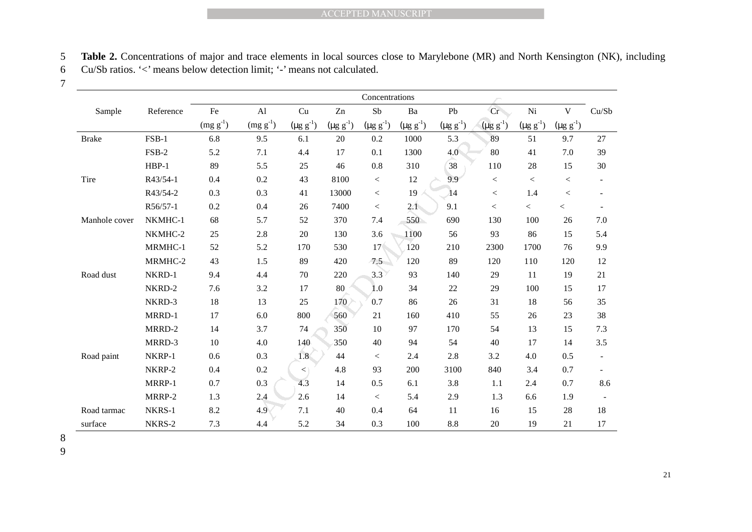5 **Table 2.** Concentrations of major and trace elements in local sources close to Marylebone (MR) and North Kensington (NK), including 6 Cu/Sb ratios. '<' means below detection limit; '-' means not calculated.

7

|                                                                                                                        | <b>ACCEPTED MANUSCRIPT</b> |               |               |                            |                  |                  |                  |                  |                  |                  |                  |                          |
|------------------------------------------------------------------------------------------------------------------------|----------------------------|---------------|---------------|----------------------------|------------------|------------------|------------------|------------------|------------------|------------------|------------------|--------------------------|
|                                                                                                                        |                            |               |               |                            |                  |                  |                  |                  |                  |                  |                  |                          |
| Table 2. Concentrations of major and trace elements in local sources close to Marylebone (MR) and North Kensington (NK |                            |               |               |                            |                  |                  |                  |                  |                  |                  |                  |                          |
| Cu/Sb ratios. '<' means below detection limit; '-' means not calculated.                                               |                            |               |               |                            |                  |                  |                  |                  |                  |                  |                  |                          |
|                                                                                                                        |                            |               |               |                            |                  |                  |                  |                  |                  |                  |                  |                          |
|                                                                                                                        |                            |               |               |                            |                  | Concentrations   |                  |                  |                  |                  |                  |                          |
| Sample                                                                                                                 | Reference                  | $\rm Fe$      | $\mathbf{Al}$ | $\ensuremath{\mathrm{Cu}}$ | Zn               | ${\rm Sb}$       | $\rm Ba$         | Pb               | Cr <sup>-</sup>  | Ni               | $\mathbf V$      | Cu/Sb                    |
|                                                                                                                        |                            | $(mg g^{-1})$ | $(mg g^{-1})$ | $(\mu g g^{-1})$           | $(\mu g g^{-1})$ | $(\mu g g^{-1})$ | $(\mu g g^{-1})$ | $(\mu g g^{-1})$ | $(\mu g g^{-1})$ | $(\mu g g^{-1})$ | $(\mu g g^{-1})$ |                          |
| <b>Brake</b>                                                                                                           | $FSB-1$                    | 6.8           | 9.5           | 6.1                        | 20               | 0.2              | 1000             | 5.3              | 89               | 51               | 9.7              | 27                       |
|                                                                                                                        | FSB-2                      | 5.2           | $7.1\,$       | 4.4                        | $17\,$           | 0.1              | 1300             | 4.0              | 80               | 41               | 7.0              | 39                       |
|                                                                                                                        | $HBP-1$                    | 89            | 5.5           | 25                         | 46               | 0.8              | 310              | 38               | 110              | 28               | 15               | 30                       |
| Tire                                                                                                                   | R43/54-1                   | 0.4           | $0.2\,$       | 43                         | 8100             | $\,<$            | 12               | 9.9              | $<\,$            | $\,<$            | $\,<$            |                          |
|                                                                                                                        | R43/54-2                   | 0.3           | 0.3           | 41                         | 13000            | $<\,$            | 19               | 14               | $\,<$            | 1.4              | $\,<$            | $\overline{\phantom{a}}$ |
|                                                                                                                        | R56/57-1                   | 0.2           | 0.4           | 26                         | 7400             | $\,<$            | 2.1              | 9.1              | $\,<\,$          | $\,<\,$          | $\,<\,$          |                          |
| Manhole cover                                                                                                          | NKMHC-1                    | 68            | 5.7           | 52                         | 370              | 7.4              | 550              | 690              | 130              | 100              | 26               | 7.0                      |
|                                                                                                                        | NKMHC-2                    | 25            | 2.8           | 20                         | 130              | 3.6              | 1100             | 56               | 93               | 86               | 15               | 5.4                      |
|                                                                                                                        | MRMHC-1                    | 52            | 5.2           | 170                        | 530              | 17 <sup>6</sup>  | 120              | 210              | 2300             | 1700             | 76               | 9.9                      |
|                                                                                                                        | MRMHC-2                    | 43            | 1.5           | 89                         | 420              | 7.5              | 120              | 89               | 120              | 110              | 120              | 12                       |
| Road dust                                                                                                              | NKRD-1                     | 9.4           | 4.4           | 70                         | 220              | 3.3              | 93               | 140              | 29               | 11               | 19               | 21                       |
|                                                                                                                        | NKRD-2                     | 7.6           | $3.2\,$       | 17                         | 80               | 1.0              | 34               | 22               | 29               | 100              | 15               | 17                       |
|                                                                                                                        | NKRD-3                     | 18            | 13            | 25                         | 170              | 0.7              | 86               | 26               | 31               | 18               | 56               | 35                       |
|                                                                                                                        | MRRD-1                     | 17            | 6.0           | 800                        | 560              | 21               | 160              | 410              | 55               | 26               | 23               | 38                       |
|                                                                                                                        | MRRD-2                     | 14            | 3.7           | 74                         | 350              | 10               | 97               | 170              | 54               | 13               | 15               | 7.3                      |
|                                                                                                                        | MRRD-3                     | 10            | 4.0           | 140                        | 350              | 40               | 94               | 54               | 40               | 17               | 14               | 3.5                      |
| Road paint                                                                                                             | NKRP-1                     | 0.6           | 0.3           | 1.8 <sup>′</sup>           | 44               | $\,<$            | 2.4              | 2.8              | 3.2              | 4.0              | 0.5              | $\overline{\phantom{a}}$ |
|                                                                                                                        | NKRP-2                     | 0.4           | $0.2\,$       | $\lt$                      | 4.8              | 93               | 200              | 3100             | 840              | 3.4              | 0.7              | $\sim$                   |
|                                                                                                                        | MRRP-1                     | 0.7           | 0.3           | 4.3                        | 14               | 0.5              | 6.1              | 3.8              | 1.1              | 2.4              | 0.7              | 8.6                      |
|                                                                                                                        | MRRP-2                     | 1.3           | 2.4           | 2.6                        | 14               | $\,<$            | 5.4              | 2.9              | 1.3              | 6.6              | 1.9              |                          |
| Road tarmac                                                                                                            | NKRS-1                     | 8.2           | 4.9           | 7.1                        | 40               | 0.4              | 64               | 11               | 16               | 15               | $28\,$           | 18                       |
| surface                                                                                                                | NKRS-2                     | 7.3           | 4.4           | 5.2                        | 34               | 0.3              | 100              | 8.8              | 20               | 19               | 21               | 17                       |

8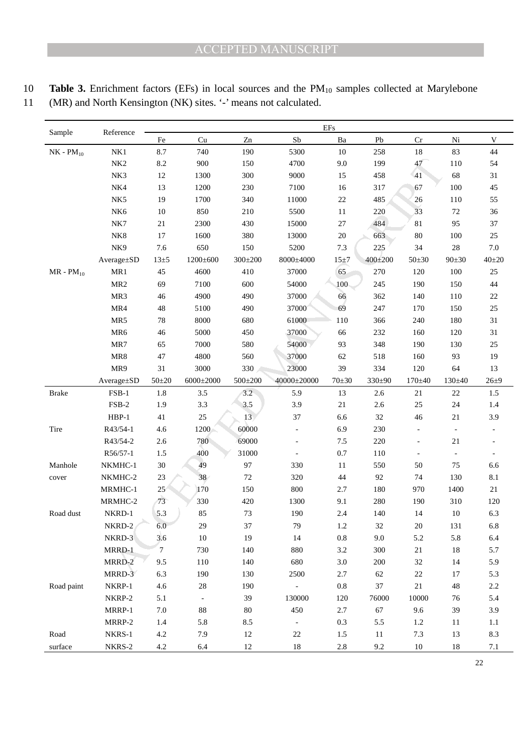10 **Table 3.** Enrichment factors (EFs) in local sources and the PM<sub>10</sub> samples collected at Marylebone

| $\sim$ $\sim$ |                                                                    |
|---------------|--------------------------------------------------------------------|
|               | 11 (MR) and North Kensington (NK) sites. '-' means not calculated. |

| Sample           |                                                | $\rm{EFs}$<br>Reference             |                          |                         |                |                              |                            |                          |                          |                                     |  |
|------------------|------------------------------------------------|-------------------------------------|--------------------------|-------------------------|----------------|------------------------------|----------------------------|--------------------------|--------------------------|-------------------------------------|--|
|                  |                                                | Fe                                  | Cu                       | Zn                      | ${\rm Sb}$     | $\mathbf{B} \mathbf{a}$      | Pb                         | $\rm Cr$                 | Ni                       | V                                   |  |
| $NK$ - $PM_{10}$ | NK1                                            | 8.7                                 | 740                      | 190                     | 5300           | 10                           | 258                        | 18                       | 83                       | 44                                  |  |
|                  | NK <sub>2</sub>                                | 8.2                                 | 900                      | 150                     | 4700           | 9.0                          | 199                        | 47                       | 110                      | 54                                  |  |
|                  | NK3                                            | 12                                  | 1300                     | 300                     | 9000           | 15                           | 458                        | 41                       | 68                       | 31                                  |  |
|                  | NK4                                            | 13                                  | 1200                     | 230                     | 7100           | 16                           | 317                        | 67                       | 100                      | $45\,$                              |  |
|                  | NK5                                            | 19                                  | 1700                     | 340                     | 11000          | $22\,$                       | 485                        | 26                       | 110                      | 55                                  |  |
|                  | NK <sub>6</sub>                                | $10\,$                              | 850                      | 210                     | 5500           | 11                           | 220                        | 33                       | 72                       | 36                                  |  |
|                  | NK7                                            | $21\,$                              | 2300                     | 430                     | 15000          | 27                           | 484                        | 81                       | 95                       | 37                                  |  |
|                  | $\rm N K8$                                     | 17                                  | 1600                     | 380                     | 13000          | $20\,$                       | 663                        | $80\,$                   | 100                      | $25\,$                              |  |
|                  | NK9                                            | 7.6                                 | 650                      | 150                     | 5200           | 7.3                          | 225                        | 34                       | 28                       | $7.0\,$                             |  |
|                  | Average±SD                                     | $13\pm 5$                           | $1200 \pm 600$           | $300 \pm 200$           | 8000±4000      | 15±7                         | $400+200$                  | $50 + 30$                | $90 \pm 30$              | $40+20$                             |  |
| $MR - PM_{10}$   | MR1                                            | 45                                  | 4600                     | 410                     | 37000          | 65                           | 270                        | 120                      | 100                      | 25                                  |  |
|                  | MR <sub>2</sub>                                | 69                                  | 7100                     | 600                     | 54000          | 100                          | 245                        | 190                      | 150                      | $44\,$                              |  |
|                  | MR3                                            | 46                                  | 4900                     | 490                     | 37000          | 66                           | 362                        | 140                      | 110                      | $22\,$                              |  |
|                  | MR4                                            | 48                                  | 5100                     | 490                     | 37000          | 69                           | 247                        | 170                      | 150                      | 25                                  |  |
|                  | MR5                                            | 78                                  | 8000                     | 680                     | 61000          | 110                          | 366                        | 240                      | 180                      | 31                                  |  |
|                  | MR6                                            | 46                                  | 5000                     | 450                     | 37000          | 66                           | 232                        | 160                      | 120                      | 31                                  |  |
|                  | MR7                                            | 65                                  | 7000                     | 580                     | 54000          | 93                           | 348                        | 190                      | 130                      | 25                                  |  |
|                  | MR8                                            | 47                                  | 4800                     | 560                     | 37000          | 62                           | 518                        | 160                      | 93                       | 19                                  |  |
|                  | MR9                                            | 31                                  | 3000                     | 330                     | 23000          | 39                           | 334                        | 120                      | 64                       | 13                                  |  |
|                  | Average±SD                                     | $50+20$                             | $6000 \pm 2000$          | $500 \pm 200$           | 40000±20000    | $70 + 30$                    | 330±90                     | $170 + 40$               | $130 \pm 40$             | $26 + 9$                            |  |
| <b>Brake</b>     | $FSB-1$                                        | 1.8                                 | 3.5                      | 3.2                     | 5.9            | 13                           | 2.6                        | 21                       | $22\,$                   | 1.5                                 |  |
|                  | $FSB-2$                                        | 1.9                                 | 3.3                      | 3.5                     | 3.9            | $21\,$                       | 2.6                        | $25\,$                   | 24                       | 1.4                                 |  |
|                  | $HBP-1$                                        | 41                                  | 25                       | 13                      | 37             | 6.6                          | 32                         | 46                       | 21                       | 3.9                                 |  |
| Tire             | R43/54-1                                       | 4.6                                 | 1200                     | 60000                   |                | 6.9                          | 230                        |                          | $\overline{\phantom{a}}$ |                                     |  |
|                  | R43/54-2                                       | 2.6                                 | 780                      | 69000                   | $\blacksquare$ | 7.5                          | 220                        | $\overline{\phantom{a}}$ | 21                       |                                     |  |
|                  | R56/57-1                                       | 1.5                                 | 400                      | 31000                   | $\Box$         | 0.7                          | 110                        | $\overline{\phantom{a}}$ | $\overline{\phantom{a}}$ |                                     |  |
| Manhole          | NKMHC-1                                        | 30                                  | 49                       | 97                      | 330            | 11                           | 550                        | $50\,$                   | $75\,$                   | 6.6                                 |  |
| cover            | NKMHC-2                                        | 23                                  | 38                       | 72                      | 320            | 44                           | 92                         | 74                       | 130                      | 8.1                                 |  |
|                  | MRMHC-1                                        | 25                                  | 170                      | 150                     | 800            | 2.7                          | 180                        | 970                      | 1400                     | 21                                  |  |
|                  | MRMHC-2                                        | 73                                  | 330                      | 420                     | 1300           | 9.1                          | 280                        | 190                      | 310                      | 120                                 |  |
| Road dust        | NKRD-1                                         | 5.3                                 | 85                       | 73                      | 190            | 2.4                          | 140                        | 14                       | $10\,$                   | 6.3                                 |  |
|                  | NKRD-2                                         | 6.0                                 | 29                       | 37                      | 79             | 1.2                          | 32                         | 20                       | 131                      | 6.8                                 |  |
|                  | NKRD-3                                         | 3.6                                 | $10\,$                   | 19                      | 14             | $\rm 0.8$                    | 9.0                        | 5.2                      | 5.8                      | 6.4                                 |  |
|                  | MRRD-1                                         | $\overline{7}$                      | 730                      | 140                     | 880            | $3.2\,$                      | 300                        | $21\,$                   | $18\,$                   | 5.7                                 |  |
|                  | MRRD-2                                         | 9.5                                 | 110                      | 140                     | 680            | $3.0\,$                      | 200                        | $32\,$                   | 14                       | 5.9                                 |  |
|                  | MRRD-3                                         | 6.3                                 | 190                      | 130                     | 2500           | 2.7                          | 62                         | $22\,$                   | 17                       | 5.3                                 |  |
| Road paint       | NKRP-1                                         | 4.6                                 | $28\,$                   | 190                     | $\blacksquare$ | $0.8\,$                      | $37\,$                     | $21\,$                   | $\sqrt{48}$              | $2.2\,$                             |  |
|                  |                                                |                                     | $\overline{\phantom{a}}$ | 39                      | 130000         | 120                          | 76000                      | 10000                    | 76                       |                                     |  |
|                  |                                                |                                     |                          |                         |                |                              |                            |                          |                          |                                     |  |
|                  |                                                |                                     |                          |                         | $\blacksquare$ |                              |                            |                          |                          |                                     |  |
|                  |                                                |                                     |                          |                         |                |                              |                            |                          |                          |                                     |  |
| surface          |                                                |                                     | 6.4                      | 12                      | $18\,$         |                              |                            |                          |                          |                                     |  |
| Road             | NKRP-2<br>MRRP-1<br>MRRP-2<br>NKRS-1<br>NKRS-2 | 5.1<br>$7.0\,$<br>1.4<br>4.2<br>4.2 | $88\,$<br>5.8<br>7.9     | $80\,$<br>8.5<br>$12\,$ | 450<br>$22\,$  | 2.7<br>0.3<br>1.5<br>$2.8\,$ | 67<br>5.5<br>$11\,$<br>9.2 | 9.6<br>1.2<br>7.3<br>10  | 39<br>$11\,$<br>13<br>18 | 5.4<br>3.9<br>$1.1\,$<br>8.3<br>7.1 |  |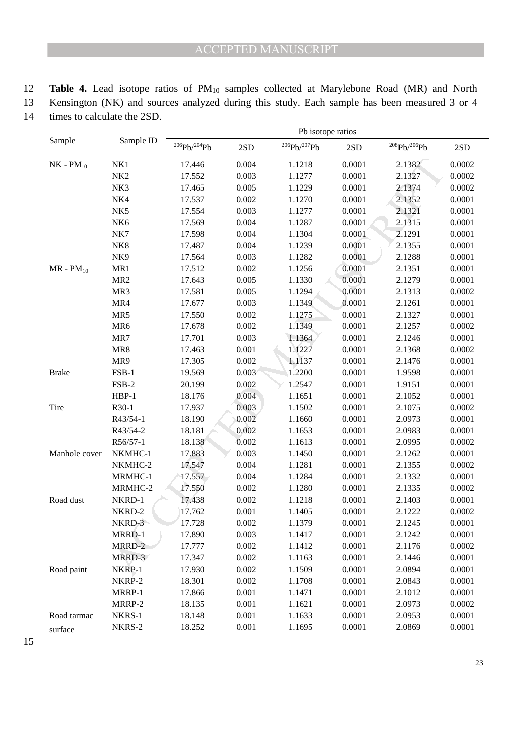12 **Table 4.** Lead isotope ratios of PM10 samples collected at Marylebone Road (MR) and North 13 Kensington (NK) and sources analyzed during this study. Each sample has been measured 3 or 4 14 times to calculate the 2SD.

NK1 17.512 0.003 1.1277 0.0001 2.1337<br>
NK3 17.545 0.003 1.1279 0.0001 2.1372<br>
NK5 17.545 0.003 1.1279 0.0001 2.1374<br>
NK5 17.553 0.004 1.1270 0.0001 2.1313<br>
NK6 17.553 0.004 1.1270 0.0001 2.1313<br>
NK7 17.589 0.004 1.1387 0.0 Sample Sample ID Pb isotope ratios  $^{206}Pb^{204}Pb$  2SD  $^{206}Pb^{207}Pb$  2SD  $^{208}Pb^{206}Pb$  2SD  $NK-PM_{10}$   $NK1$  17.446 0.004 1.1218 0.0001 2.1382 0.0002 NK2 17.552 0.003 1.1277 0.0001 2.1327 0.0002 NK3 17.465 0.005 1.1229 0.0001 2.1374 0.0002 NK4 17.537 0.002 1.1270 0.0001 2.1352 0.0001 NK5 17.554 0.003 1.1277 0.0001 2.1321 0.0001 NK6 17.569 0.004 1.1287 0.0001 2.1315 0.0001 NK7 17.598 0.004 1.1304 0.0001 2.1291 0.0001 NK8 17.487 0.004 1.1239 0.0001 2.1355 0.0001 NK9 17.564 0.003 1.1282 0.0001 2.1288 0.0001  $MR - PM_{10}$   $MR1$  17.512 0.002 1.1256 0.0001 2.1351 0.0001 MR2 17.643 0.005 1.1330 0.0001 2.1279 0.0001 MR3 17.581 0.005 1.1294 0.0001 2.1313 0.0002 MR4 17.677 0.003 1.1349 0.0001 2.1261 0.0001 MR5 17.550 0.002 1.1275 0.0001 2.1327 0.0001 MR6 17.678 0.002 1.1349 0.0001 2.1257 0.0002 MR7 17.701 0.003 1.1364 0.0001 2.1246 0.0001 MR8 17.463 0.001 1.1227 0.0001 2.1368 0.0002 MR9 17.305 0.002 1.1137 0.0001 2.1476 0.0001 Brake FSB-1 19.569 0.003 1.2200 0.0001 1.9598 0.0001 FSB-2 20.199 0.002 1.2547 0.0001 1.9151 0.0001 HBP-1 18.176 0.004 1.1651 0.0001 2.1052 0.0001 Tire R30-1 17.937 0.003 1.1502 0.0001 2.1075 0.0002 R43/54-1 18.190 0.002 1.1660 0.0001 2.0973 0.0001 R43/54-2 18.181 0.002 1.1653 0.0001 2.0983 0.0001 R56/57-1 18.138 0.002 1.1613 0.0001 2.0995 0.0002 Manhole cover NKMHC-1 17.883 0.003 1.1450 0.0001 2.1262 0.0001 NKMHC-2 17.547 0.004 1.1281 0.0001 2.1355 0.0002 MRMHC-1 17.557 0.004 1.1284 0.0001 2.1332 0.0001 MRMHC-2 17.550 0.002 1.1280 0.0001 2.1335 0.0002 Road dust NKRD-1 17.438 0.002 1.1218 0.0001 2.1403 0.0001 NKRD-2 17.762 0.001 1.1405 0.0001 2.1222 0.0002 NKRD-3 17.728 0.002 1.1379 0.0001 2.1245 0.0001 MRRD-1 17.890 0.003 1.1417 0.0001 2.1242 0.0001 MRRD-2 17.777 0.002 1.1412 0.0001 2.1176 0.0002 MRRD-3 17.347 0.002 1.1163 0.0001 2.1446 0.0001 Road paint NKRP-1 17.930 0.002 1.1509 0.0001 2.0894 0.0001 NKRP-2 18.301 0.002 1.1708 0.0001 2.0843 0.0001 MRRP-1 17.866 0.001 1.1471 0.0001 2.1012 0.0001 MRRP-2 18.135 0.001 1.1621 0.0001 2.0973 0.0002 Road tarmac surface NKRS-1 18.148 0.001 1.1633 0.0001 2.0953 0.0001 NKRS-2 18.252 0.001 1.1695 0.0001 2.0869 0.0001